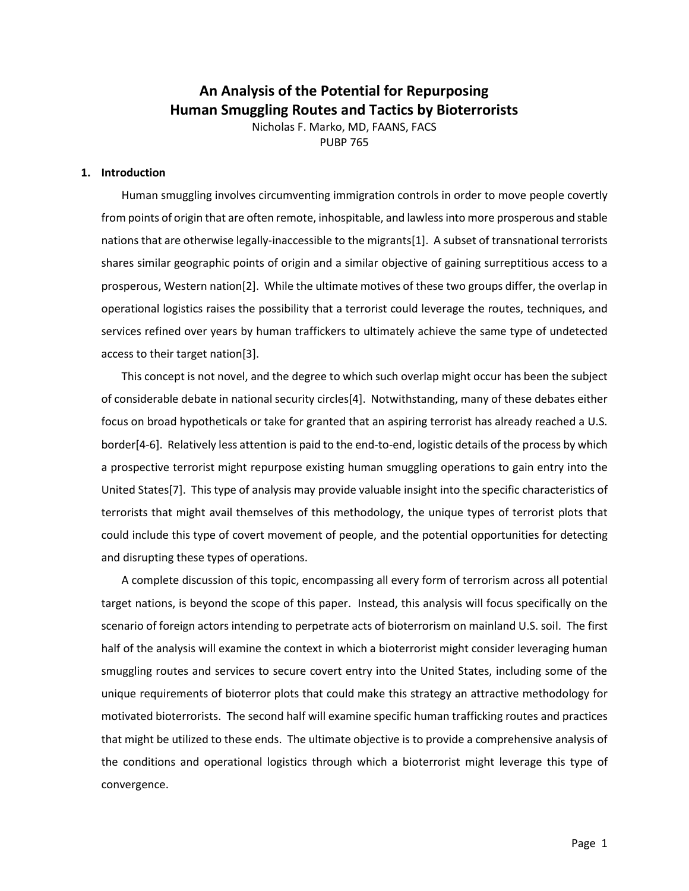# **An Analysis of the Potential for Repurposing Human Smuggling Routes and Tactics by Bioterrorists**

Nicholas F. Marko, MD, FAANS, FACS PUBP 765

#### **1. Introduction**

Human smuggling involves circumventing immigration controls in order to move people covertly from points of origin that are often remote, inhospitable, and lawless into more prosperous and stable nations that are otherwise legally-inaccessible to the migrants[1]. A subset of transnational terrorists shares similar geographic points of origin and a similar objective of gaining surreptitious access to a prosperous, Western nation[2]. While the ultimate motives of these two groups differ, the overlap in operational logistics raises the possibility that a terrorist could leverage the routes, techniques, and services refined over years by human traffickers to ultimately achieve the same type of undetected access to their target nation[3].

This concept is not novel, and the degree to which such overlap might occur has been the subject of considerable debate in national security circles[4]. Notwithstanding, many of these debates either focus on broad hypotheticals or take for granted that an aspiring terrorist has already reached a U.S. border[4-6]. Relatively less attention is paid to the end-to-end, logistic details of the process by which a prospective terrorist might repurpose existing human smuggling operations to gain entry into the United States[7]. This type of analysis may provide valuable insight into the specific characteristics of terrorists that might avail themselves of this methodology, the unique types of terrorist plots that could include this type of covert movement of people, and the potential opportunities for detecting and disrupting these types of operations.

A complete discussion of this topic, encompassing all every form of terrorism across all potential target nations, is beyond the scope of this paper. Instead, this analysis will focus specifically on the scenario of foreign actors intending to perpetrate acts of bioterrorism on mainland U.S. soil. The first half of the analysis will examine the context in which a bioterrorist might consider leveraging human smuggling routes and services to secure covert entry into the United States, including some of the unique requirements of bioterror plots that could make this strategy an attractive methodology for motivated bioterrorists. The second half will examine specific human trafficking routes and practices that might be utilized to these ends. The ultimate objective is to provide a comprehensive analysis of the conditions and operational logistics through which a bioterrorist might leverage this type of convergence.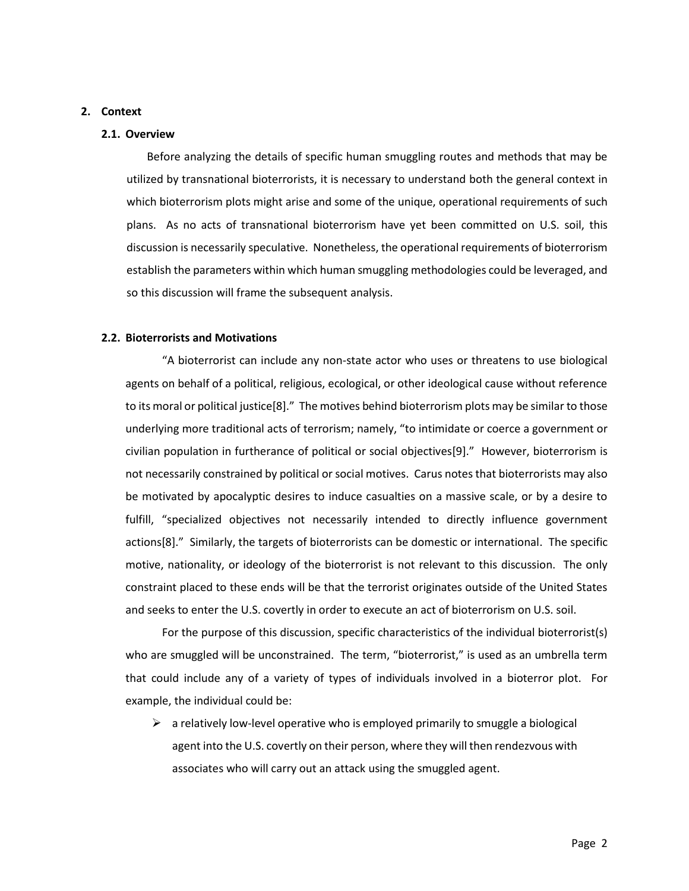#### **2. Context**

#### **2.1. Overview**

Before analyzing the details of specific human smuggling routes and methods that may be utilized by transnational bioterrorists, it is necessary to understand both the general context in which bioterrorism plots might arise and some of the unique, operational requirements of such plans. As no acts of transnational bioterrorism have yet been committed on U.S. soil, this discussion is necessarily speculative. Nonetheless, the operational requirements of bioterrorism establish the parameters within which human smuggling methodologies could be leveraged, and so this discussion will frame the subsequent analysis.

#### **2.2. Bioterrorists and Motivations**

"A bioterrorist can include any non-state actor who uses or threatens to use biological agents on behalf of a political, religious, ecological, or other ideological cause without reference to its moral or political justice[8]." The motives behind bioterrorism plots may be similar to those underlying more traditional acts of terrorism; namely, "to intimidate or coerce a government or civilian population in furtherance of political or social objectives[9]." However, bioterrorism is not necessarily constrained by political or social motives. Carus notes that bioterrorists may also be motivated by apocalyptic desires to induce casualties on a massive scale, or by a desire to fulfill, "specialized objectives not necessarily intended to directly influence government actions[8]." Similarly, the targets of bioterrorists can be domestic or international. The specific motive, nationality, or ideology of the bioterrorist is not relevant to this discussion. The only constraint placed to these ends will be that the terrorist originates outside of the United States and seeks to enter the U.S. covertly in order to execute an act of bioterrorism on U.S. soil.

For the purpose of this discussion, specific characteristics of the individual bioterrorist(s) who are smuggled will be unconstrained. The term, "bioterrorist," is used as an umbrella term that could include any of a variety of types of individuals involved in a bioterror plot. For example, the individual could be:

 $\triangleright$  a relatively low-level operative who is employed primarily to smuggle a biological agent into the U.S. covertly on their person, where they will then rendezvous with associates who will carry out an attack using the smuggled agent.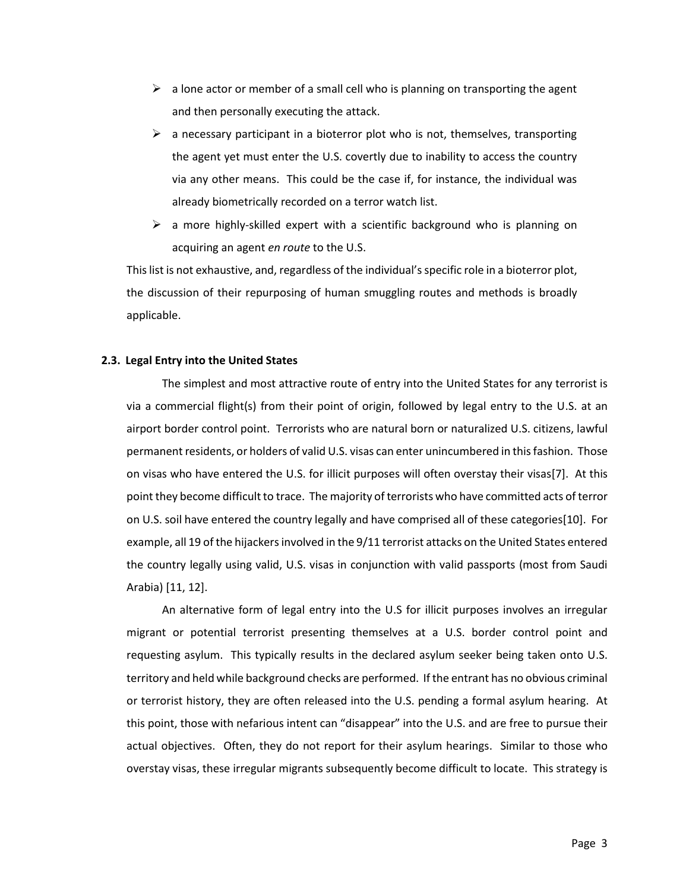- $\triangleright$  a lone actor or member of a small cell who is planning on transporting the agent and then personally executing the attack.
- $\triangleright$  a necessary participant in a bioterror plot who is not, themselves, transporting the agent yet must enter the U.S. covertly due to inability to access the country via any other means. This could be the case if, for instance, the individual was already biometrically recorded on a terror watch list.
- $\triangleright$  a more highly-skilled expert with a scientific background who is planning on acquiring an agent *en route* to the U.S.

This list is not exhaustive, and, regardless of the individual's specific role in a bioterror plot, the discussion of their repurposing of human smuggling routes and methods is broadly applicable.

#### **2.3. Legal Entry into the United States**

The simplest and most attractive route of entry into the United States for any terrorist is via a commercial flight(s) from their point of origin, followed by legal entry to the U.S. at an airport border control point. Terrorists who are natural born or naturalized U.S. citizens, lawful permanent residents, or holders of valid U.S. visas can enter unincumbered in this fashion. Those on visas who have entered the U.S. for illicit purposes will often overstay their visas[7]. At this point they become difficult to trace. The majority of terrorists who have committed acts of terror on U.S. soil have entered the country legally and have comprised all of these categories[10]. For example, all 19 of the hijackers involved in the 9/11 terrorist attacks on the United States entered the country legally using valid, U.S. visas in conjunction with valid passports (most from Saudi Arabia) [11, 12].

An alternative form of legal entry into the U.S for illicit purposes involves an irregular migrant or potential terrorist presenting themselves at a U.S. border control point and requesting asylum. This typically results in the declared asylum seeker being taken onto U.S. territory and held while background checks are performed. If the entrant has no obvious criminal or terrorist history, they are often released into the U.S. pending a formal asylum hearing. At this point, those with nefarious intent can "disappear" into the U.S. and are free to pursue their actual objectives. Often, they do not report for their asylum hearings. Similar to those who overstay visas, these irregular migrants subsequently become difficult to locate. This strategy is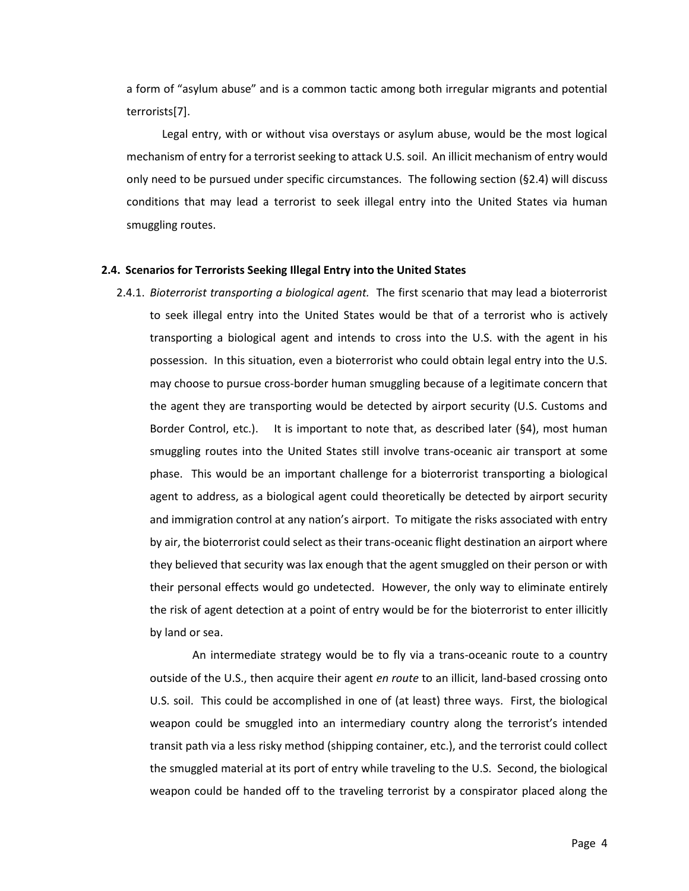a form of "asylum abuse" and is a common tactic among both irregular migrants and potential terrorists[7].

Legal entry, with or without visa overstays or asylum abuse, would be the most logical mechanism of entry for a terrorist seeking to attack U.S. soil. An illicit mechanism of entry would only need to be pursued under specific circumstances. The following section (§2.4) will discuss conditions that may lead a terrorist to seek illegal entry into the United States via human smuggling routes.

#### **2.4. Scenarios for Terrorists Seeking Illegal Entry into the United States**

2.4.1. *Bioterrorist transporting a biological agent.* The first scenario that may lead a bioterrorist to seek illegal entry into the United States would be that of a terrorist who is actively transporting a biological agent and intends to cross into the U.S. with the agent in his possession. In this situation, even a bioterrorist who could obtain legal entry into the U.S. may choose to pursue cross-border human smuggling because of a legitimate concern that the agent they are transporting would be detected by airport security (U.S. Customs and Border Control, etc.). It is important to note that, as described later (§4), most human smuggling routes into the United States still involve trans-oceanic air transport at some phase. This would be an important challenge for a bioterrorist transporting a biological agent to address, as a biological agent could theoretically be detected by airport security and immigration control at any nation's airport. To mitigate the risks associated with entry by air, the bioterrorist could select as their trans-oceanic flight destination an airport where they believed that security was lax enough that the agent smuggled on their person or with their personal effects would go undetected. However, the only way to eliminate entirely the risk of agent detection at a point of entry would be for the bioterrorist to enter illicitly by land or sea.

An intermediate strategy would be to fly via a trans-oceanic route to a country outside of the U.S., then acquire their agent *en route* to an illicit, land-based crossing onto U.S. soil. This could be accomplished in one of (at least) three ways. First, the biological weapon could be smuggled into an intermediary country along the terrorist's intended transit path via a less risky method (shipping container, etc.), and the terrorist could collect the smuggled material at its port of entry while traveling to the U.S. Second, the biological weapon could be handed off to the traveling terrorist by a conspirator placed along the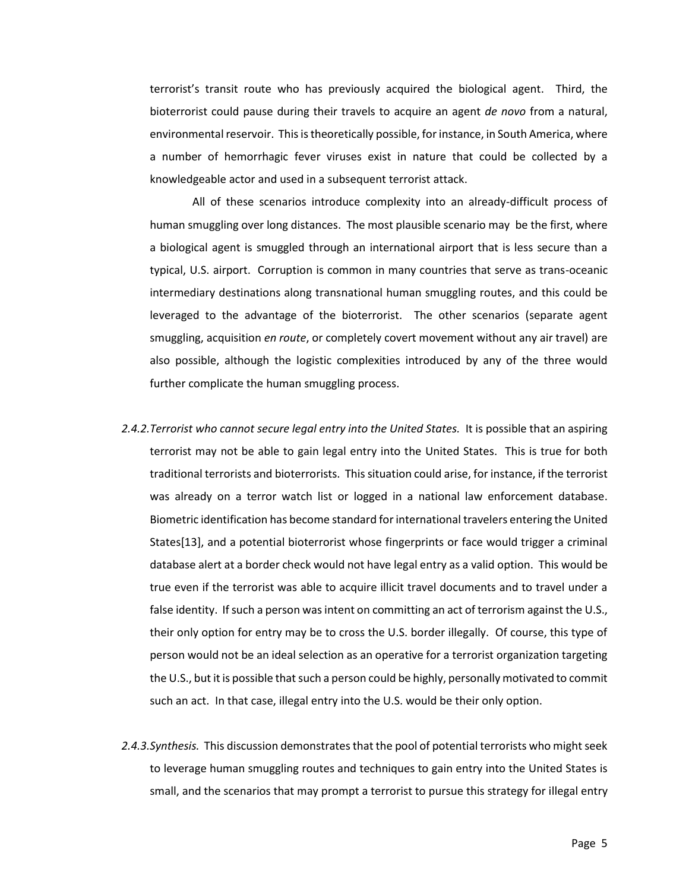terrorist's transit route who has previously acquired the biological agent. Third, the bioterrorist could pause during their travels to acquire an agent *de novo* from a natural, environmental reservoir. This is theoretically possible, for instance, in South America, where a number of hemorrhagic fever viruses exist in nature that could be collected by a knowledgeable actor and used in a subsequent terrorist attack.

All of these scenarios introduce complexity into an already-difficult process of human smuggling over long distances. The most plausible scenario may be the first, where a biological agent is smuggled through an international airport that is less secure than a typical, U.S. airport. Corruption is common in many countries that serve as trans-oceanic intermediary destinations along transnational human smuggling routes, and this could be leveraged to the advantage of the bioterrorist. The other scenarios (separate agent smuggling, acquisition *en route*, or completely covert movement without any air travel) are also possible, although the logistic complexities introduced by any of the three would further complicate the human smuggling process.

- *2.4.2.Terrorist who cannot secure legal entry into the United States.* It is possible that an aspiring terrorist may not be able to gain legal entry into the United States. This is true for both traditional terrorists and bioterrorists. This situation could arise, for instance, if the terrorist was already on a terror watch list or logged in a national law enforcement database. Biometric identification has become standard for international travelers entering the United States[13], and a potential bioterrorist whose fingerprints or face would trigger a criminal database alert at a border check would not have legal entry as a valid option. This would be true even if the terrorist was able to acquire illicit travel documents and to travel under a false identity. If such a person was intent on committing an act of terrorism against the U.S., their only option for entry may be to cross the U.S. border illegally. Of course, this type of person would not be an ideal selection as an operative for a terrorist organization targeting the U.S., but it is possible that such a person could be highly, personally motivated to commit such an act. In that case, illegal entry into the U.S. would be their only option.
- *2.4.3.Synthesis.* This discussion demonstrates that the pool of potential terrorists who might seek to leverage human smuggling routes and techniques to gain entry into the United States is small, and the scenarios that may prompt a terrorist to pursue this strategy for illegal entry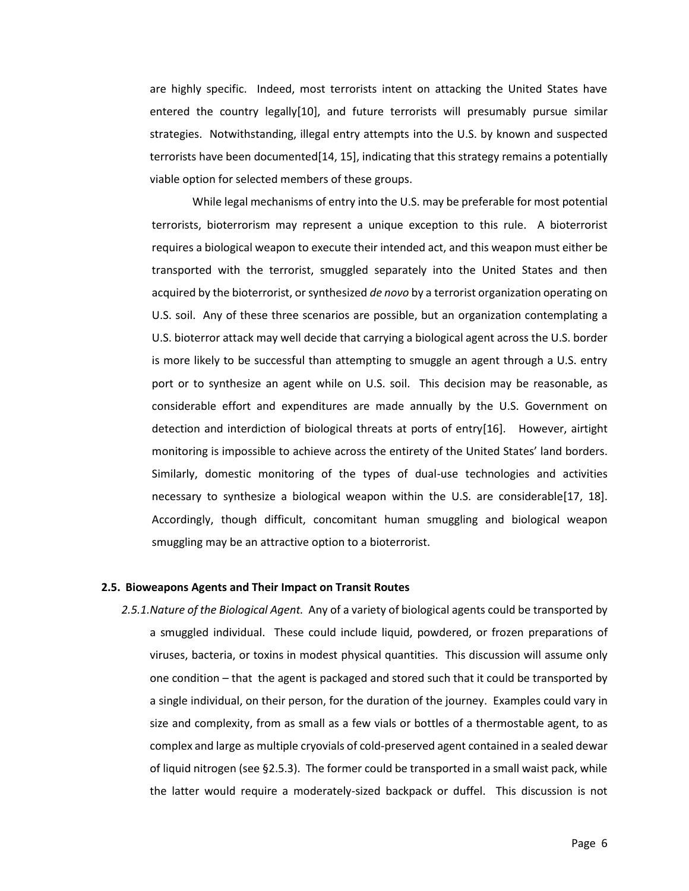are highly specific. Indeed, most terrorists intent on attacking the United States have entered the country legally[10], and future terrorists will presumably pursue similar strategies. Notwithstanding, illegal entry attempts into the U.S. by known and suspected terrorists have been documented[14, 15], indicating that this strategy remains a potentially viable option for selected members of these groups.

While legal mechanisms of entry into the U.S. may be preferable for most potential terrorists, bioterrorism may represent a unique exception to this rule. A bioterrorist requires a biological weapon to execute their intended act, and this weapon must either be transported with the terrorist, smuggled separately into the United States and then acquired by the bioterrorist, or synthesized *de novo* by a terrorist organization operating on U.S. soil. Any of these three scenarios are possible, but an organization contemplating a U.S. bioterror attack may well decide that carrying a biological agent across the U.S. border is more likely to be successful than attempting to smuggle an agent through a U.S. entry port or to synthesize an agent while on U.S. soil. This decision may be reasonable, as considerable effort and expenditures are made annually by the U.S. Government on detection and interdiction of biological threats at ports of entry[16]. However, airtight monitoring is impossible to achieve across the entirety of the United States' land borders. Similarly, domestic monitoring of the types of dual-use technologies and activities necessary to synthesize a biological weapon within the U.S. are considerable[17, 18]. Accordingly, though difficult, concomitant human smuggling and biological weapon smuggling may be an attractive option to a bioterrorist.

#### **2.5. Bioweapons Agents and Their Impact on Transit Routes**

*2.5.1.Nature of the Biological Agent.* Any of a variety of biological agents could be transported by a smuggled individual. These could include liquid, powdered, or frozen preparations of viruses, bacteria, or toxins in modest physical quantities. This discussion will assume only one condition – that the agent is packaged and stored such that it could be transported by a single individual, on their person, for the duration of the journey. Examples could vary in size and complexity, from as small as a few vials or bottles of a thermostable agent, to as complex and large as multiple cryovials of cold-preserved agent contained in a sealed dewar of liquid nitrogen (see §2.5.3). The former could be transported in a small waist pack, while the latter would require a moderately-sized backpack or duffel. This discussion is not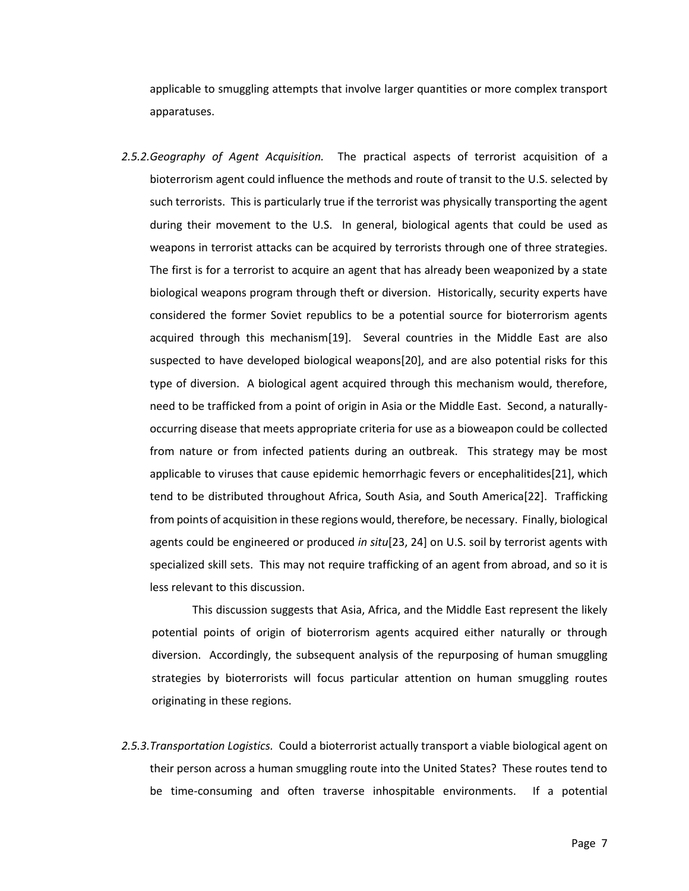applicable to smuggling attempts that involve larger quantities or more complex transport apparatuses.

*2.5.2.Geography of Agent Acquisition.* The practical aspects of terrorist acquisition of a bioterrorism agent could influence the methods and route of transit to the U.S. selected by such terrorists. This is particularly true if the terrorist was physically transporting the agent during their movement to the U.S. In general, biological agents that could be used as weapons in terrorist attacks can be acquired by terrorists through one of three strategies. The first is for a terrorist to acquire an agent that has already been weaponized by a state biological weapons program through theft or diversion. Historically, security experts have considered the former Soviet republics to be a potential source for bioterrorism agents acquired through this mechanism[19]. Several countries in the Middle East are also suspected to have developed biological weapons[20], and are also potential risks for this type of diversion. A biological agent acquired through this mechanism would, therefore, need to be trafficked from a point of origin in Asia or the Middle East. Second, a naturallyoccurring disease that meets appropriate criteria for use as a bioweapon could be collected from nature or from infected patients during an outbreak. This strategy may be most applicable to viruses that cause epidemic hemorrhagic fevers or encephalitides[21], which tend to be distributed throughout Africa, South Asia, and South America[22]. Trafficking from points of acquisition in these regions would, therefore, be necessary. Finally, biological agents could be engineered or produced *in situ*[23, 24] on U.S. soil by terrorist agents with specialized skill sets. This may not require trafficking of an agent from abroad, and so it is less relevant to this discussion.

This discussion suggests that Asia, Africa, and the Middle East represent the likely potential points of origin of bioterrorism agents acquired either naturally or through diversion. Accordingly, the subsequent analysis of the repurposing of human smuggling strategies by bioterrorists will focus particular attention on human smuggling routes originating in these regions.

*2.5.3.Transportation Logistics.* Could a bioterrorist actually transport a viable biological agent on their person across a human smuggling route into the United States? These routes tend to be time-consuming and often traverse inhospitable environments. If a potential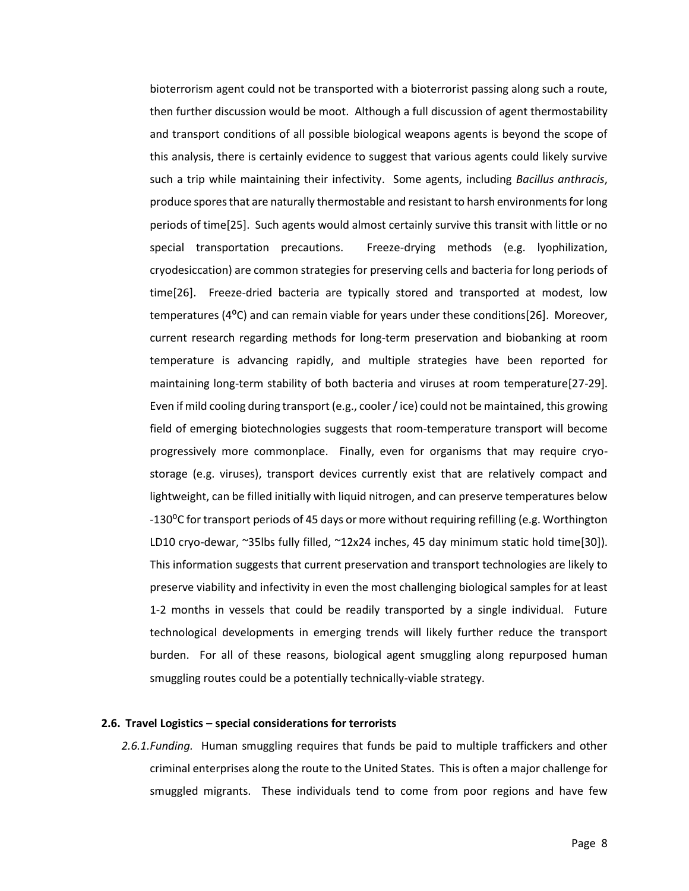bioterrorism agent could not be transported with a bioterrorist passing along such a route, then further discussion would be moot. Although a full discussion of agent thermostability and transport conditions of all possible biological weapons agents is beyond the scope of this analysis, there is certainly evidence to suggest that various agents could likely survive such a trip while maintaining their infectivity. Some agents, including *Bacillus anthracis*, produce spores that are naturally thermostable and resistant to harsh environments for long periods of time[25]. Such agents would almost certainly survive this transit with little or no special transportation precautions. Freeze-drying methods (e.g. lyophilization, cryodesiccation) are common strategies for preserving cells and bacteria for long periods of time[26]. Freeze-dried bacteria are typically stored and transported at modest, low temperatures ( $4^{\circ}$ C) and can remain viable for years under these conditions[26]. Moreover, current research regarding methods for long-term preservation and biobanking at room temperature is advancing rapidly, and multiple strategies have been reported for maintaining long-term stability of both bacteria and viruses at room temperature[27-29]. Even if mild cooling during transport (e.g., cooler / ice) could not be maintained, this growing field of emerging biotechnologies suggests that room-temperature transport will become progressively more commonplace. Finally, even for organisms that may require cryostorage (e.g. viruses), transport devices currently exist that are relatively compact and lightweight, can be filled initially with liquid nitrogen, and can preserve temperatures below -130°C for transport periods of 45 days or more without requiring refilling (e.g. Worthington LD10 cryo-dewar, ~35lbs fully filled, ~12x24 inches, 45 day minimum static hold time[30]). This information suggests that current preservation and transport technologies are likely to preserve viability and infectivity in even the most challenging biological samples for at least 1-2 months in vessels that could be readily transported by a single individual. Future technological developments in emerging trends will likely further reduce the transport burden. For all of these reasons, biological agent smuggling along repurposed human smuggling routes could be a potentially technically-viable strategy.

#### **2.6. Travel Logistics – special considerations for terrorists**

*2.6.1.Funding.* Human smuggling requires that funds be paid to multiple traffickers and other criminal enterprises along the route to the United States. This is often a major challenge for smuggled migrants. These individuals tend to come from poor regions and have few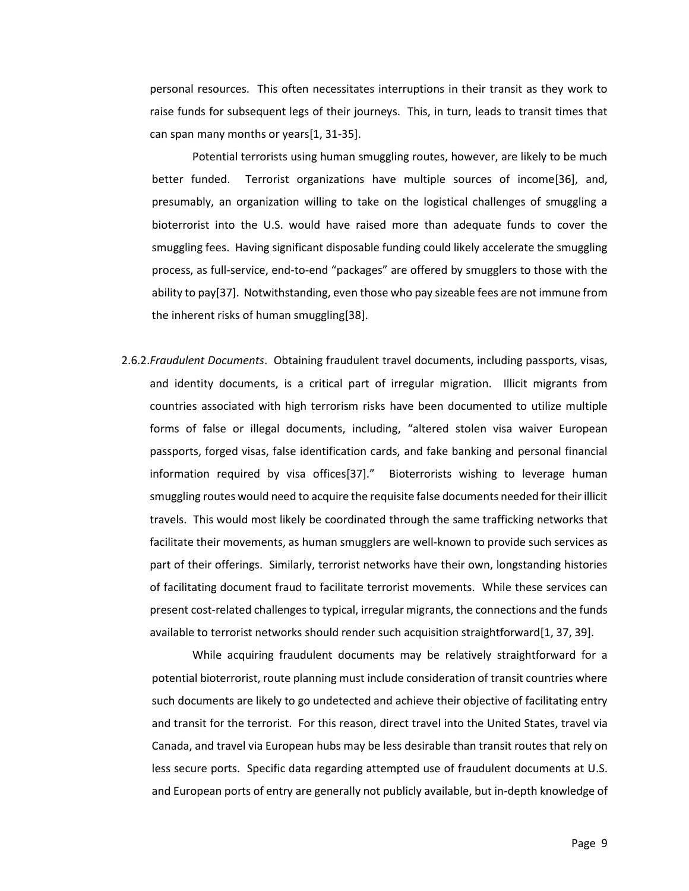personal resources. This often necessitates interruptions in their transit as they work to raise funds for subsequent legs of their journeys. This, in turn, leads to transit times that can span many months or years[1, 31-35].

Potential terrorists using human smuggling routes, however, are likely to be much better funded. Terrorist organizations have multiple sources of income[36], and, presumably, an organization willing to take on the logistical challenges of smuggling a bioterrorist into the U.S. would have raised more than adequate funds to cover the smuggling fees. Having significant disposable funding could likely accelerate the smuggling process, as full-service, end-to-end "packages" are offered by smugglers to those with the ability to pay[37]. Notwithstanding, even those who pay sizeable fees are not immune from the inherent risks of human smuggling[38].

2.6.2.*Fraudulent Documents*. Obtaining fraudulent travel documents, including passports, visas, and identity documents, is a critical part of irregular migration. Illicit migrants from countries associated with high terrorism risks have been documented to utilize multiple forms of false or illegal documents, including, "altered stolen visa waiver European passports, forged visas, false identification cards, and fake banking and personal financial information required by visa offices[37]." Bioterrorists wishing to leverage human smuggling routes would need to acquire the requisite false documents needed for their illicit travels. This would most likely be coordinated through the same trafficking networks that facilitate their movements, as human smugglers are well-known to provide such services as part of their offerings. Similarly, terrorist networks have their own, longstanding histories of facilitating document fraud to facilitate terrorist movements. While these services can present cost-related challenges to typical, irregular migrants, the connections and the funds available to terrorist networks should render such acquisition straightforward[1, 37, 39].

While acquiring fraudulent documents may be relatively straightforward for a potential bioterrorist, route planning must include consideration of transit countries where such documents are likely to go undetected and achieve their objective of facilitating entry and transit for the terrorist. For this reason, direct travel into the United States, travel via Canada, and travel via European hubs may be less desirable than transit routes that rely on less secure ports. Specific data regarding attempted use of fraudulent documents at U.S. and European ports of entry are generally not publicly available, but in-depth knowledge of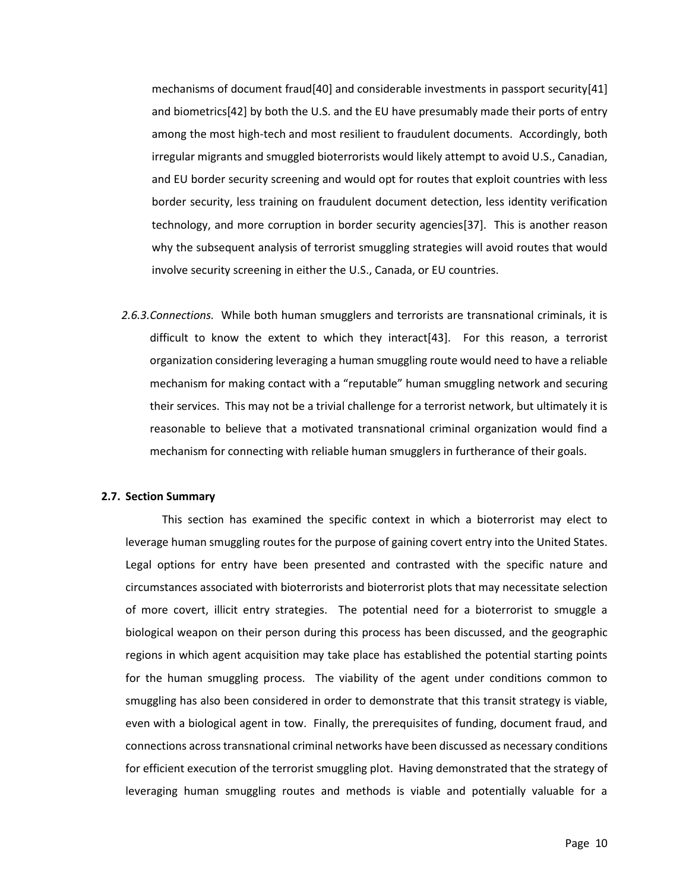mechanisms of document fraud[40] and considerable investments in passport security[41] and biometrics[42] by both the U.S. and the EU have presumably made their ports of entry among the most high-tech and most resilient to fraudulent documents. Accordingly, both irregular migrants and smuggled bioterrorists would likely attempt to avoid U.S., Canadian, and EU border security screening and would opt for routes that exploit countries with less border security, less training on fraudulent document detection, less identity verification technology, and more corruption in border security agencies[37]. This is another reason why the subsequent analysis of terrorist smuggling strategies will avoid routes that would involve security screening in either the U.S., Canada, or EU countries.

*2.6.3.Connections.* While both human smugglers and terrorists are transnational criminals, it is difficult to know the extent to which they interact[43]. For this reason, a terrorist organization considering leveraging a human smuggling route would need to have a reliable mechanism for making contact with a "reputable" human smuggling network and securing their services. This may not be a trivial challenge for a terrorist network, but ultimately it is reasonable to believe that a motivated transnational criminal organization would find a mechanism for connecting with reliable human smugglers in furtherance of their goals.

#### **2.7. Section Summary**

This section has examined the specific context in which a bioterrorist may elect to leverage human smuggling routes for the purpose of gaining covert entry into the United States. Legal options for entry have been presented and contrasted with the specific nature and circumstances associated with bioterrorists and bioterrorist plots that may necessitate selection of more covert, illicit entry strategies. The potential need for a bioterrorist to smuggle a biological weapon on their person during this process has been discussed, and the geographic regions in which agent acquisition may take place has established the potential starting points for the human smuggling process. The viability of the agent under conditions common to smuggling has also been considered in order to demonstrate that this transit strategy is viable, even with a biological agent in tow. Finally, the prerequisites of funding, document fraud, and connections across transnational criminal networks have been discussed as necessary conditions for efficient execution of the terrorist smuggling plot. Having demonstrated that the strategy of leveraging human smuggling routes and methods is viable and potentially valuable for a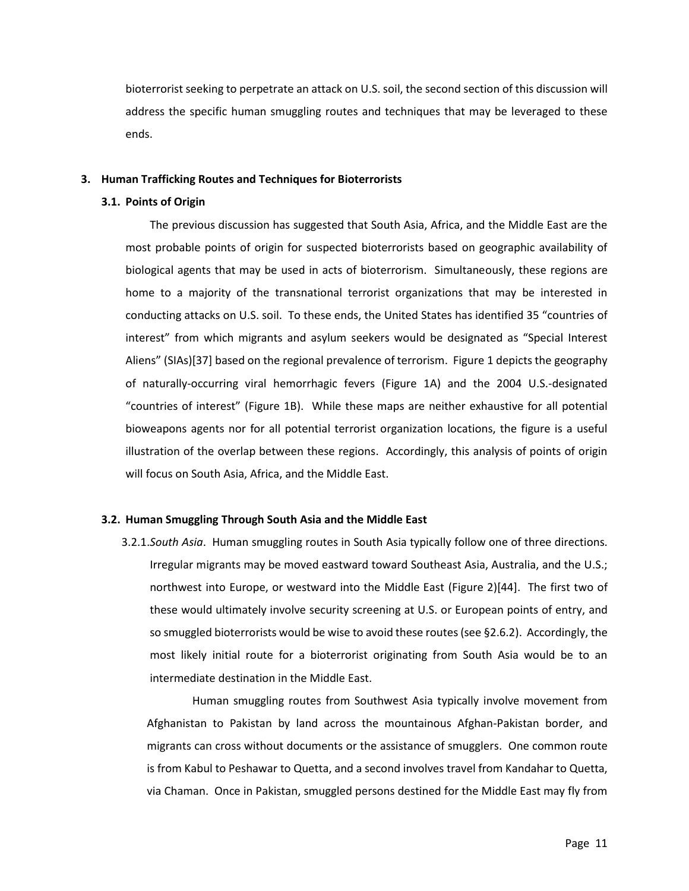bioterrorist seeking to perpetrate an attack on U.S. soil, the second section of this discussion will address the specific human smuggling routes and techniques that may be leveraged to these ends.

#### **3. Human Trafficking Routes and Techniques for Bioterrorists**

#### **3.1. Points of Origin**

The previous discussion has suggested that South Asia, Africa, and the Middle East are the most probable points of origin for suspected bioterrorists based on geographic availability of biological agents that may be used in acts of bioterrorism. Simultaneously, these regions are home to a majority of the transnational terrorist organizations that may be interested in conducting attacks on U.S. soil. To these ends, the United States has identified 35 "countries of interest" from which migrants and asylum seekers would be designated as "Special Interest Aliens" (SIAs)[37] based on the regional prevalence of terrorism. Figure 1 depicts the geography of naturally-occurring viral hemorrhagic fevers (Figure 1A) and the 2004 U.S.-designated "countries of interest" (Figure 1B). While these maps are neither exhaustive for all potential bioweapons agents nor for all potential terrorist organization locations, the figure is a useful illustration of the overlap between these regions. Accordingly, this analysis of points of origin will focus on South Asia, Africa, and the Middle East.

#### **3.2. Human Smuggling Through South Asia and the Middle East**

3.2.1.*South Asia*. Human smuggling routes in South Asia typically follow one of three directions. Irregular migrants may be moved eastward toward Southeast Asia, Australia, and the U.S.; northwest into Europe, or westward into the Middle East (Figure 2)[44]. The first two of these would ultimately involve security screening at U.S. or European points of entry, and so smuggled bioterrorists would be wise to avoid these routes (see §2.6.2). Accordingly, the most likely initial route for a bioterrorist originating from South Asia would be to an intermediate destination in the Middle East.

Human smuggling routes from Southwest Asia typically involve movement from Afghanistan to Pakistan by land across the mountainous Afghan-Pakistan border, and migrants can cross without documents or the assistance of smugglers. One common route is from Kabul to Peshawar to Quetta, and a second involves travel from Kandahar to Quetta, via Chaman. Once in Pakistan, smuggled persons destined for the Middle East may fly from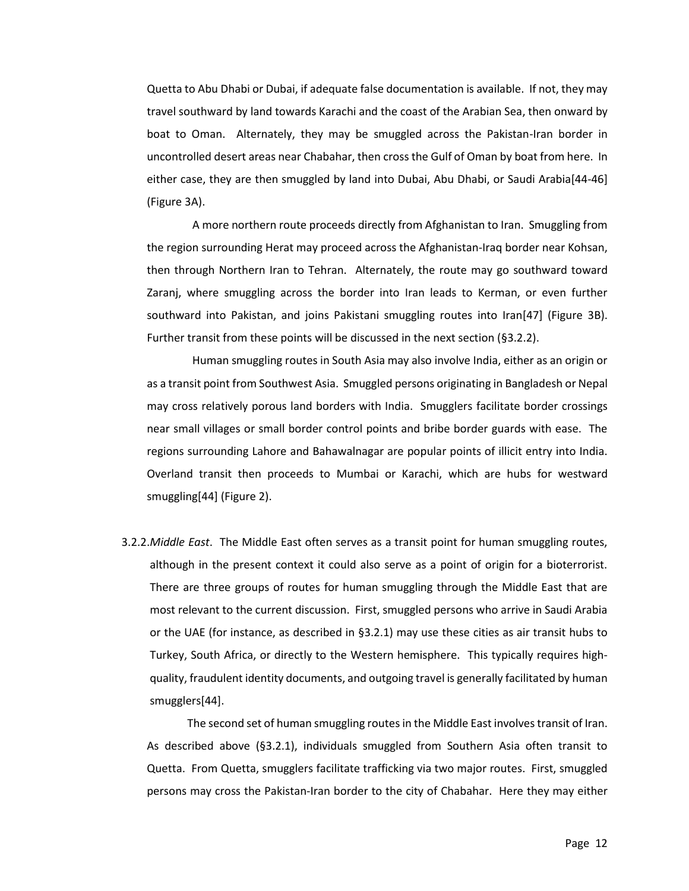Quetta to Abu Dhabi or Dubai, if adequate false documentation is available. If not, they may travel southward by land towards Karachi and the coast of the Arabian Sea, then onward by boat to Oman. Alternately, they may be smuggled across the Pakistan-Iran border in uncontrolled desert areas near Chabahar, then cross the Gulf of Oman by boat from here. In either case, they are then smuggled by land into Dubai, Abu Dhabi, or Saudi Arabia[44-46] (Figure 3A).

A more northern route proceeds directly from Afghanistan to Iran. Smuggling from the region surrounding Herat may proceed across the Afghanistan-Iraq border near Kohsan, then through Northern Iran to Tehran. Alternately, the route may go southward toward Zaranj, where smuggling across the border into Iran leads to Kerman, or even further southward into Pakistan, and joins Pakistani smuggling routes into Iran[47] (Figure 3B). Further transit from these points will be discussed in the next section (§3.2.2).

Human smuggling routes in South Asia may also involve India, either as an origin or as a transit point from Southwest Asia. Smuggled persons originating in Bangladesh or Nepal may cross relatively porous land borders with India. Smugglers facilitate border crossings near small villages or small border control points and bribe border guards with ease. The regions surrounding Lahore and Bahawalnagar are popular points of illicit entry into India. Overland transit then proceeds to Mumbai or Karachi, which are hubs for westward smuggling[44] (Figure 2).

3.2.2.*Middle East*. The Middle East often serves as a transit point for human smuggling routes, although in the present context it could also serve as a point of origin for a bioterrorist. There are three groups of routes for human smuggling through the Middle East that are most relevant to the current discussion. First, smuggled persons who arrive in Saudi Arabia or the UAE (for instance, as described in §3.2.1) may use these cities as air transit hubs to Turkey, South Africa, or directly to the Western hemisphere. This typically requires highquality, fraudulent identity documents, and outgoing travel is generally facilitated by human smugglers[44].

The second set of human smuggling routes in the Middle East involves transit of Iran. As described above (§3.2.1), individuals smuggled from Southern Asia often transit to Quetta. From Quetta, smugglers facilitate trafficking via two major routes. First, smuggled persons may cross the Pakistan-Iran border to the city of Chabahar. Here they may either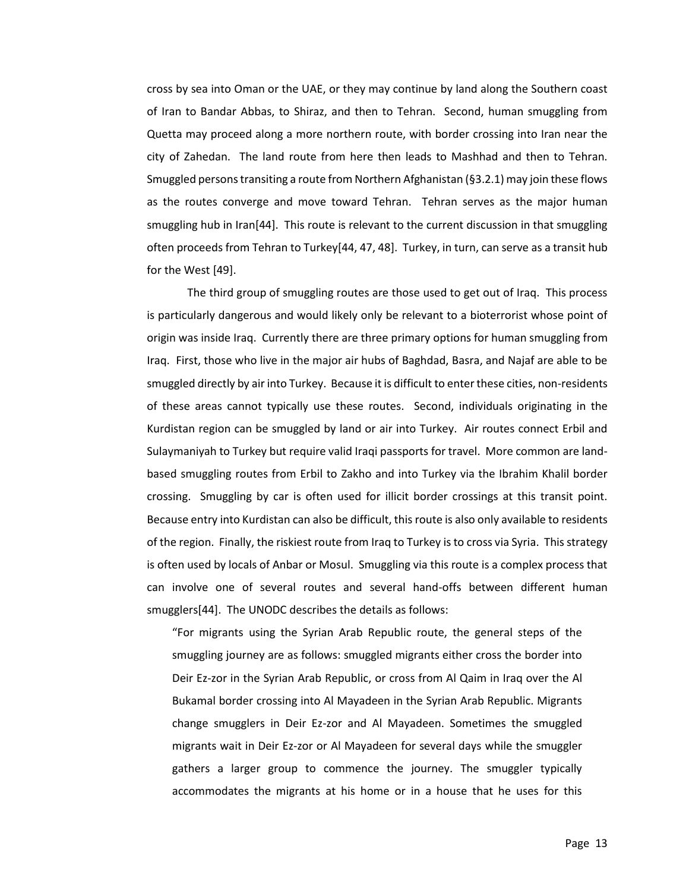cross by sea into Oman or the UAE, or they may continue by land along the Southern coast of Iran to Bandar Abbas, to Shiraz, and then to Tehran. Second, human smuggling from Quetta may proceed along a more northern route, with border crossing into Iran near the city of Zahedan. The land route from here then leads to Mashhad and then to Tehran. Smuggled persons transiting a route from Northern Afghanistan (§3.2.1) may join these flows as the routes converge and move toward Tehran. Tehran serves as the major human smuggling hub in Iran[44]. This route is relevant to the current discussion in that smuggling often proceeds from Tehran to Turkey[44, 47, 48]. Turkey, in turn, can serve as a transit hub for the West [49].

The third group of smuggling routes are those used to get out of Iraq. This process is particularly dangerous and would likely only be relevant to a bioterrorist whose point of origin was inside Iraq. Currently there are three primary options for human smuggling from Iraq. First, those who live in the major air hubs of Baghdad, Basra, and Najaf are able to be smuggled directly by air into Turkey. Because it is difficult to enter these cities, non-residents of these areas cannot typically use these routes. Second, individuals originating in the Kurdistan region can be smuggled by land or air into Turkey. Air routes connect Erbil and Sulaymaniyah to Turkey but require valid Iraqi passports for travel. More common are landbased smuggling routes from Erbil to Zakho and into Turkey via the Ibrahim Khalil border crossing. Smuggling by car is often used for illicit border crossings at this transit point. Because entry into Kurdistan can also be difficult, this route is also only available to residents of the region. Finally, the riskiest route from Iraq to Turkey is to cross via Syria. This strategy is often used by locals of Anbar or Mosul. Smuggling via this route is a complex process that can involve one of several routes and several hand-offs between different human smugglers[44]. The UNODC describes the details as follows:

"For migrants using the Syrian Arab Republic route, the general steps of the smuggling journey are as follows: smuggled migrants either cross the border into Deir Ez-zor in the Syrian Arab Republic, or cross from Al Qaim in Iraq over the Al Bukamal border crossing into Al Mayadeen in the Syrian Arab Republic. Migrants change smugglers in Deir Ez-zor and Al Mayadeen. Sometimes the smuggled migrants wait in Deir Ez-zor or Al Mayadeen for several days while the smuggler gathers a larger group to commence the journey. The smuggler typically accommodates the migrants at his home or in a house that he uses for this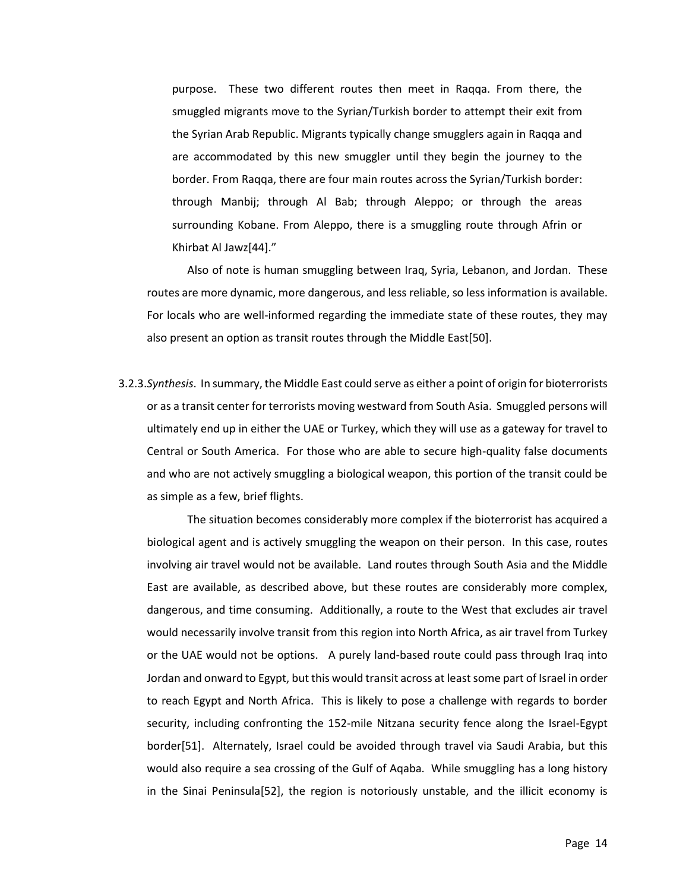purpose. These two different routes then meet in Raqqa. From there, the smuggled migrants move to the Syrian/Turkish border to attempt their exit from the Syrian Arab Republic. Migrants typically change smugglers again in Raqqa and are accommodated by this new smuggler until they begin the journey to the border. From Raqqa, there are four main routes across the Syrian/Turkish border: through Manbij; through Al Bab; through Aleppo; or through the areas surrounding Kobane. From Aleppo, there is a smuggling route through Afrin or Khirbat Al Jawz[44]."

Also of note is human smuggling between Iraq, Syria, Lebanon, and Jordan. These routes are more dynamic, more dangerous, and less reliable, so less information is available. For locals who are well-informed regarding the immediate state of these routes, they may also present an option as transit routes through the Middle East[50].

3.2.3.*Synthesis*. In summary, the Middle East could serve as either a point of origin for bioterrorists or as a transit center for terrorists moving westward from South Asia. Smuggled persons will ultimately end up in either the UAE or Turkey, which they will use as a gateway for travel to Central or South America. For those who are able to secure high-quality false documents and who are not actively smuggling a biological weapon, this portion of the transit could be as simple as a few, brief flights.

The situation becomes considerably more complex if the bioterrorist has acquired a biological agent and is actively smuggling the weapon on their person. In this case, routes involving air travel would not be available. Land routes through South Asia and the Middle East are available, as described above, but these routes are considerably more complex, dangerous, and time consuming. Additionally, a route to the West that excludes air travel would necessarily involve transit from this region into North Africa, as air travel from Turkey or the UAE would not be options. A purely land-based route could pass through Iraq into Jordan and onward to Egypt, but this would transit across at least some part of Israel in order to reach Egypt and North Africa. This is likely to pose a challenge with regards to border security, including confronting the 152-mile Nitzana security fence along the Israel-Egypt border[51]. Alternately, Israel could be avoided through travel via Saudi Arabia, but this would also require a sea crossing of the Gulf of Aqaba. While smuggling has a long history in the Sinai Peninsula[52], the region is notoriously unstable, and the illicit economy is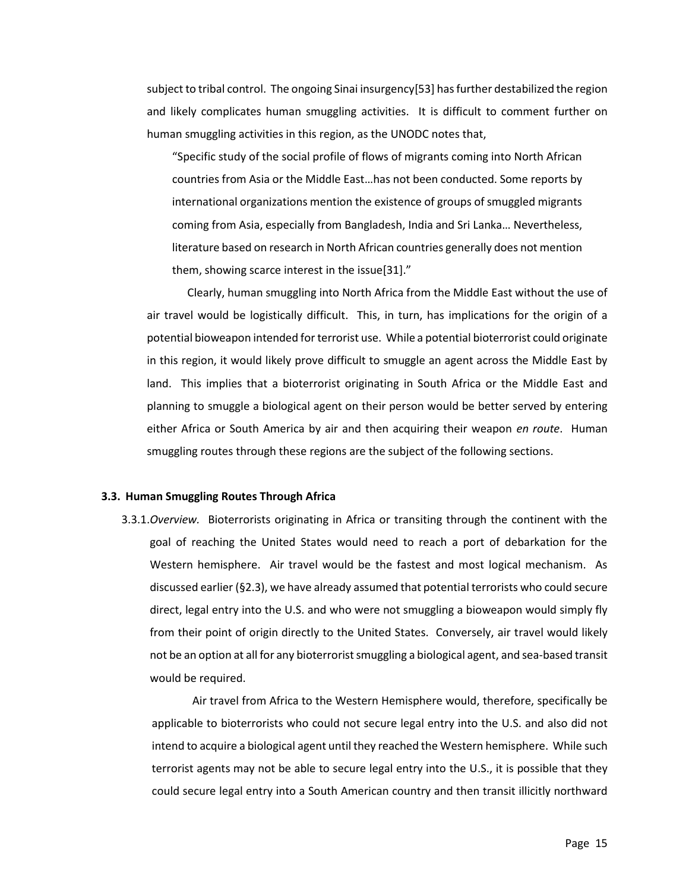subject to tribal control. The ongoing Sinai insurgency[53] has further destabilized the region and likely complicates human smuggling activities. It is difficult to comment further on human smuggling activities in this region, as the UNODC notes that,

"Specific study of the social profile of flows of migrants coming into North African countries from Asia or the Middle East…has not been conducted. Some reports by international organizations mention the existence of groups of smuggled migrants coming from Asia, especially from Bangladesh, India and Sri Lanka… Nevertheless, literature based on research in North African countries generally does not mention them, showing scarce interest in the issue[31]."

Clearly, human smuggling into North Africa from the Middle East without the use of air travel would be logistically difficult. This, in turn, has implications for the origin of a potential bioweapon intended for terrorist use. While a potential bioterrorist could originate in this region, it would likely prove difficult to smuggle an agent across the Middle East by land. This implies that a bioterrorist originating in South Africa or the Middle East and planning to smuggle a biological agent on their person would be better served by entering either Africa or South America by air and then acquiring their weapon *en route*. Human smuggling routes through these regions are the subject of the following sections.

#### **3.3. Human Smuggling Routes Through Africa**

3.3.1.*Overview.* Bioterrorists originating in Africa or transiting through the continent with the goal of reaching the United States would need to reach a port of debarkation for the Western hemisphere. Air travel would be the fastest and most logical mechanism. As discussed earlier (§2.3), we have already assumed that potential terrorists who could secure direct, legal entry into the U.S. and who were not smuggling a bioweapon would simply fly from their point of origin directly to the United States. Conversely, air travel would likely not be an option at all for any bioterrorist smuggling a biological agent, and sea-based transit would be required.

Air travel from Africa to the Western Hemisphere would, therefore, specifically be applicable to bioterrorists who could not secure legal entry into the U.S. and also did not intend to acquire a biological agent until they reached the Western hemisphere. While such terrorist agents may not be able to secure legal entry into the U.S., it is possible that they could secure legal entry into a South American country and then transit illicitly northward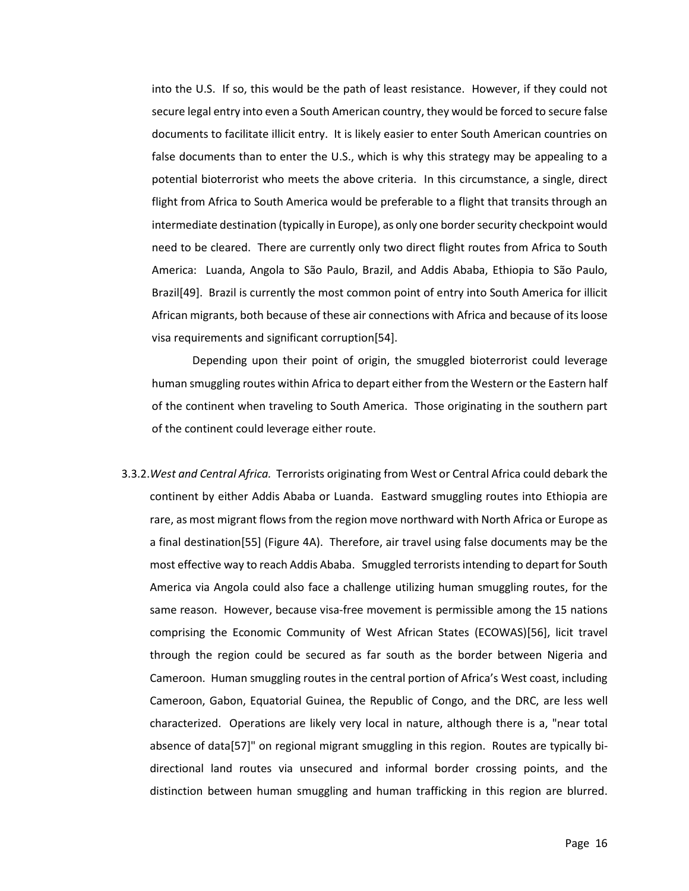into the U.S. If so, this would be the path of least resistance. However, if they could not secure legal entry into even a South American country, they would be forced to secure false documents to facilitate illicit entry. It is likely easier to enter South American countries on false documents than to enter the U.S., which is why this strategy may be appealing to a potential bioterrorist who meets the above criteria. In this circumstance, a single, direct flight from Africa to South America would be preferable to a flight that transits through an intermediate destination (typically in Europe), as only one border security checkpoint would need to be cleared. There are currently only two direct flight routes from Africa to South America: Luanda, Angola to São Paulo, Brazil, and Addis Ababa, Ethiopia to São Paulo, Brazil[49]. Brazil is currently the most common point of entry into South America for illicit African migrants, both because of these air connections with Africa and because of its loose visa requirements and significant corruption[54].

Depending upon their point of origin, the smuggled bioterrorist could leverage human smuggling routes within Africa to depart either from the Western or the Eastern half of the continent when traveling to South America. Those originating in the southern part of the continent could leverage either route.

3.3.2.*West and Central Africa.* Terrorists originating from West or Central Africa could debark the continent by either Addis Ababa or Luanda. Eastward smuggling routes into Ethiopia are rare, as most migrant flows from the region move northward with North Africa or Europe as a final destination[55] (Figure 4A). Therefore, air travel using false documents may be the most effective way to reach Addis Ababa. Smuggled terrorists intending to depart for South America via Angola could also face a challenge utilizing human smuggling routes, for the same reason. However, because visa-free movement is permissible among the 15 nations comprising the Economic Community of West African States (ECOWAS)[56], licit travel through the region could be secured as far south as the border between Nigeria and Cameroon. Human smuggling routes in the central portion of Africa's West coast, including Cameroon, Gabon, Equatorial Guinea, the Republic of Congo, and the DRC, are less well characterized. Operations are likely very local in nature, although there is a, "near total absence of data[57]" on regional migrant smuggling in this region. Routes are typically bidirectional land routes via unsecured and informal border crossing points, and the distinction between human smuggling and human trafficking in this region are blurred.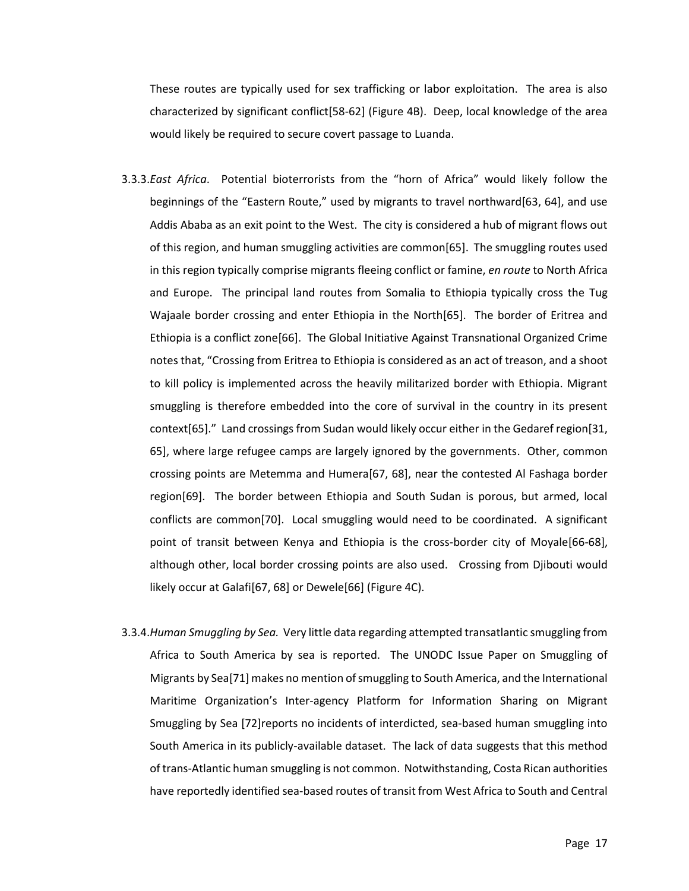These routes are typically used for sex trafficking or labor exploitation. The area is also characterized by significant conflict[58-62] (Figure 4B). Deep, local knowledge of the area would likely be required to secure covert passage to Luanda.

- 3.3.3.*East Africa*. Potential bioterrorists from the "horn of Africa" would likely follow the beginnings of the "Eastern Route," used by migrants to travel northward[63, 64], and use Addis Ababa as an exit point to the West. The city is considered a hub of migrant flows out of this region, and human smuggling activities are common[65]. The smuggling routes used in this region typically comprise migrants fleeing conflict or famine, *en route* to North Africa and Europe. The principal land routes from Somalia to Ethiopia typically cross the Tug Wajaale border crossing and enter Ethiopia in the North[65]. The border of Eritrea and Ethiopia is a conflict zone[66]. The Global Initiative Against Transnational Organized Crime notes that, "Crossing from Eritrea to Ethiopia is considered as an act of treason, and a shoot to kill policy is implemented across the heavily militarized border with Ethiopia. Migrant smuggling is therefore embedded into the core of survival in the country in its present context[65]." Land crossings from Sudan would likely occur either in the Gedaref region[31, 65], where large refugee camps are largely ignored by the governments. Other, common crossing points are Metemma and Humera[67, 68], near the contested Al Fashaga border region[69]. The border between Ethiopia and South Sudan is porous, but armed, local conflicts are common[70]. Local smuggling would need to be coordinated. A significant point of transit between Kenya and Ethiopia is the cross-border city of Moyale[66-68], although other, local border crossing points are also used. Crossing from Djibouti would likely occur at Galafi[67, 68] or Dewele[66] (Figure 4C).
- 3.3.4.*Human Smuggling by Sea.* Very little data regarding attempted transatlantic smuggling from Africa to South America by sea is reported. The UNODC Issue Paper on Smuggling of Migrants by Sea[71] makes no mention of smuggling to South America, and the International Maritime Organization's Inter-agency Platform for Information Sharing on Migrant Smuggling by Sea [72]reports no incidents of interdicted, sea-based human smuggling into South America in its publicly-available dataset. The lack of data suggests that this method of trans-Atlantic human smuggling is not common. Notwithstanding, Costa Rican authorities have reportedly identified sea-based routes of transit from West Africa to South and Central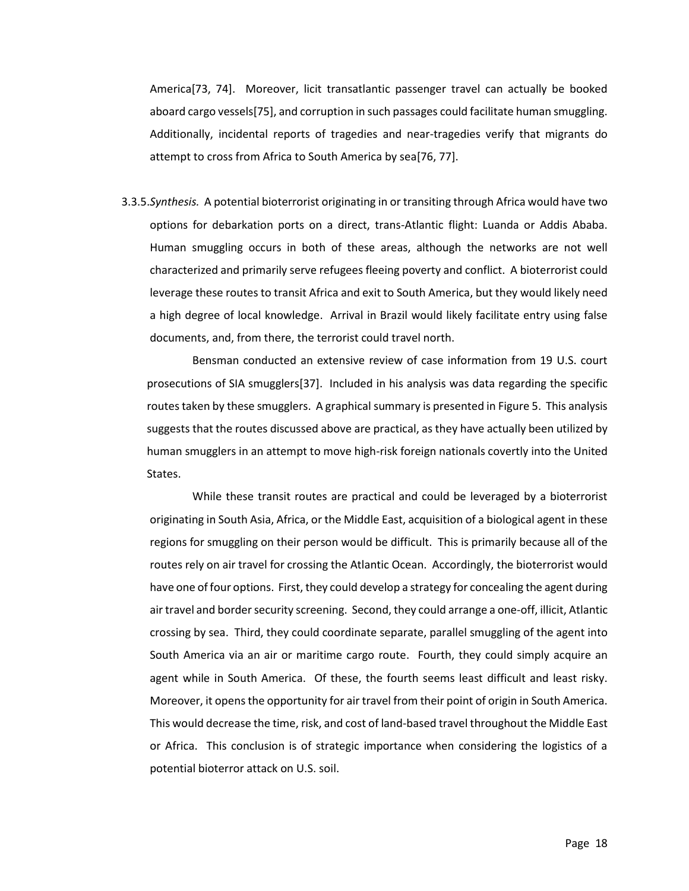America[73, 74]. Moreover, licit transatlantic passenger travel can actually be booked aboard cargo vessels[75], and corruption in such passages could facilitate human smuggling. Additionally, incidental reports of tragedies and near-tragedies verify that migrants do attempt to cross from Africa to South America by sea[76, 77].

3.3.5.*Synthesis.* A potential bioterrorist originating in or transiting through Africa would have two options for debarkation ports on a direct, trans-Atlantic flight: Luanda or Addis Ababa. Human smuggling occurs in both of these areas, although the networks are not well characterized and primarily serve refugees fleeing poverty and conflict. A bioterrorist could leverage these routes to transit Africa and exit to South America, but they would likely need a high degree of local knowledge. Arrival in Brazil would likely facilitate entry using false documents, and, from there, the terrorist could travel north.

Bensman conducted an extensive review of case information from 19 U.S. court prosecutions of SIA smugglers[37]. Included in his analysis was data regarding the specific routes taken by these smugglers. A graphical summary is presented in Figure 5. This analysis suggests that the routes discussed above are practical, as they have actually been utilized by human smugglers in an attempt to move high-risk foreign nationals covertly into the United States.

While these transit routes are practical and could be leveraged by a bioterrorist originating in South Asia, Africa, or the Middle East, acquisition of a biological agent in these regions for smuggling on their person would be difficult. This is primarily because all of the routes rely on air travel for crossing the Atlantic Ocean. Accordingly, the bioterrorist would have one of four options. First, they could develop a strategy for concealing the agent during air travel and border security screening. Second, they could arrange a one-off, illicit, Atlantic crossing by sea. Third, they could coordinate separate, parallel smuggling of the agent into South America via an air or maritime cargo route. Fourth, they could simply acquire an agent while in South America. Of these, the fourth seems least difficult and least risky. Moreover, it opens the opportunity for air travel from their point of origin in South America. This would decrease the time, risk, and cost of land-based travel throughout the Middle East or Africa. This conclusion is of strategic importance when considering the logistics of a potential bioterror attack on U.S. soil.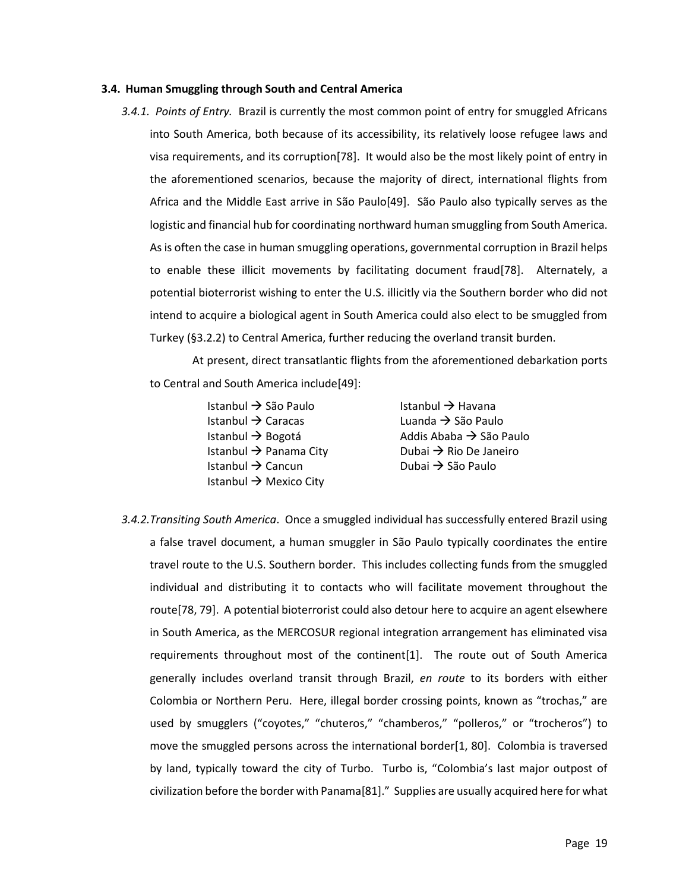#### **3.4. Human Smuggling through South and Central America**

*3.4.1. Points of Entry.* Brazil is currently the most common point of entry for smuggled Africans into South America, both because of its accessibility, its relatively loose refugee laws and visa requirements, and its corruption[78]. It would also be the most likely point of entry in the aforementioned scenarios, because the majority of direct, international flights from Africa and the Middle East arrive in São Paulo[49]. São Paulo also typically serves as the logistic and financial hub for coordinating northward human smuggling from South America. As is often the case in human smuggling operations, governmental corruption in Brazil helps to enable these illicit movements by facilitating document fraud[78]. Alternately, a potential bioterrorist wishing to enter the U.S. illicitly via the Southern border who did not intend to acquire a biological agent in South America could also elect to be smuggled from Turkey (§3.2.2) to Central America, further reducing the overland transit burden.

At present, direct transatlantic flights from the aforementioned debarkation ports to Central and South America include[49]:

> Istanbul → São Paulo Istanbul → Havana Istanbul → Caracas Luanda → São Paulo Istanbul → Panama City Dubai → Rio De Janeiro Istanbul → Cancun Dubai → São Paulo Istanbul  $\rightarrow$  Mexico City

Istanbul → Bogotá  $\longrightarrow$  Addis Ababa → São Paulo

*3.4.2.Transiting South America*. Once a smuggled individual has successfully entered Brazil using a false travel document, a human smuggler in São Paulo typically coordinates the entire travel route to the U.S. Southern border. This includes collecting funds from the smuggled individual and distributing it to contacts who will facilitate movement throughout the route[78, 79]. A potential bioterrorist could also detour here to acquire an agent elsewhere in South America, as the MERCOSUR regional integration arrangement has eliminated visa requirements throughout most of the continent[1]. The route out of South America generally includes overland transit through Brazil, *en route* to its borders with either Colombia or Northern Peru. Here, illegal border crossing points, known as "trochas," are used by smugglers ("coyotes," "chuteros," "chamberos," "polleros," or "trocheros") to move the smuggled persons across the international border[1, 80]. Colombia is traversed by land, typically toward the city of Turbo. Turbo is, "Colombia's last major outpost of civilization before the border with Panama[81]." Supplies are usually acquired here for what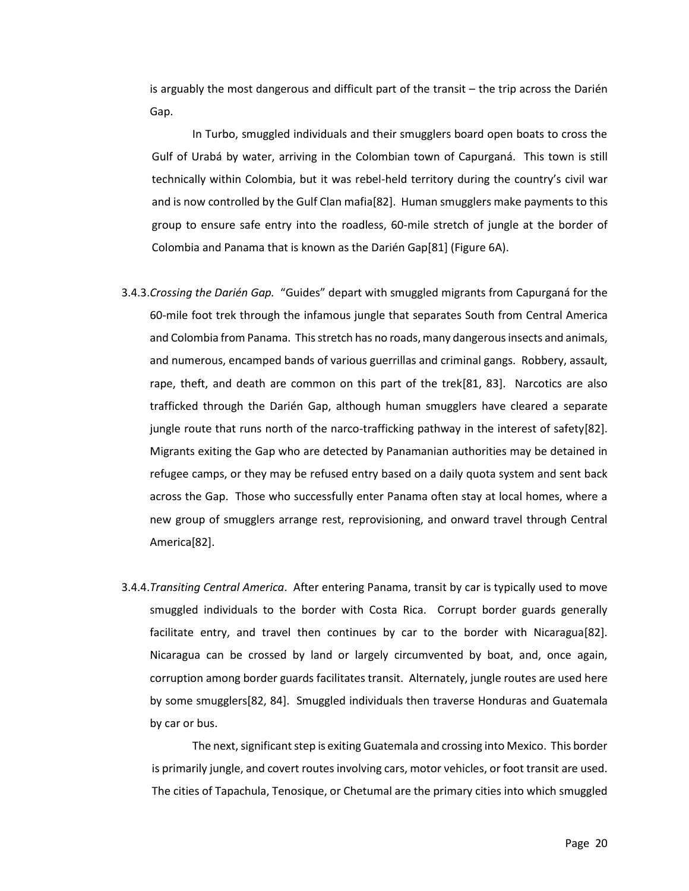is arguably the most dangerous and difficult part of the transit – the trip across the Darién Gap.

In Turbo, smuggled individuals and their smugglers board open boats to cross the Gulf of Urabá by water, arriving in the Colombian town of Capurganá. This town is still technically within Colombia, but it was rebel-held territory during the country's civil war and is now controlled by the Gulf Clan mafia[82]. Human smugglers make payments to this group to ensure safe entry into the roadless, 60-mile stretch of jungle at the border of Colombia and Panama that is known as the Darién Gap[81] (Figure 6A).

- 3.4.3.*Crossing the Darién Gap.* "Guides" depart with smuggled migrants from Capurganá for the 60-mile foot trek through the infamous jungle that separates South from Central America and Colombia from Panama. This stretch has no roads, many dangerous insects and animals, and numerous, encamped bands of various guerrillas and criminal gangs. Robbery, assault, rape, theft, and death are common on this part of the trek[81, 83]. Narcotics are also trafficked through the Darién Gap, although human smugglers have cleared a separate jungle route that runs north of the narco-trafficking pathway in the interest of safety[82]. Migrants exiting the Gap who are detected by Panamanian authorities may be detained in refugee camps, or they may be refused entry based on a daily quota system and sent back across the Gap. Those who successfully enter Panama often stay at local homes, where a new group of smugglers arrange rest, reprovisioning, and onward travel through Central America[82].
- 3.4.4.*Transiting Central America*. After entering Panama, transit by car is typically used to move smuggled individuals to the border with Costa Rica. Corrupt border guards generally facilitate entry, and travel then continues by car to the border with Nicaragua[82]. Nicaragua can be crossed by land or largely circumvented by boat, and, once again, corruption among border guards facilitates transit. Alternately, jungle routes are used here by some smugglers[82, 84]. Smuggled individuals then traverse Honduras and Guatemala by car or bus.

The next, significant step is exiting Guatemala and crossing into Mexico. This border is primarily jungle, and covert routes involving cars, motor vehicles, or foot transit are used. The cities of Tapachula, Tenosique, or Chetumal are the primary cities into which smuggled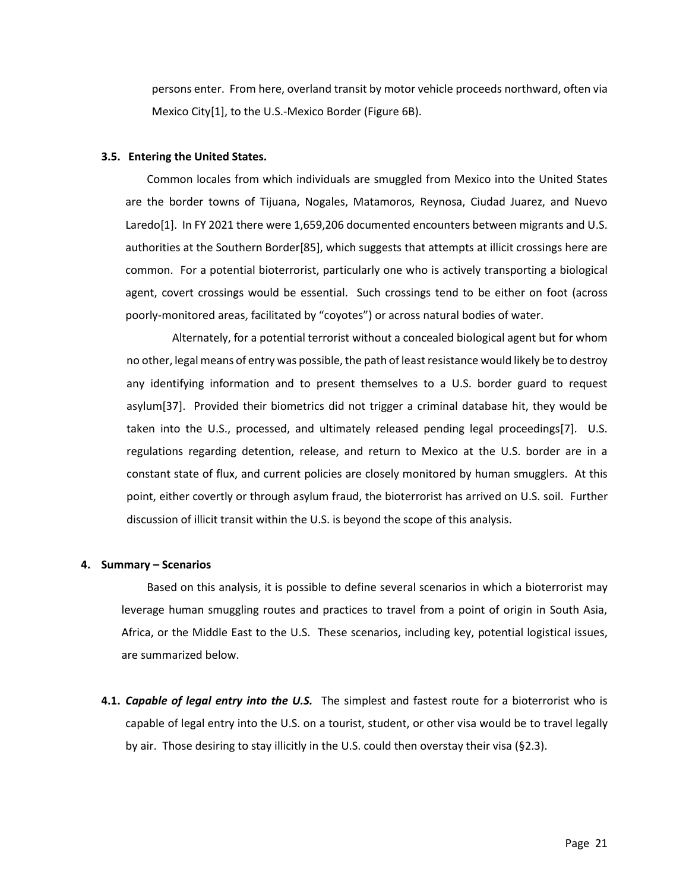persons enter. From here, overland transit by motor vehicle proceeds northward, often via Mexico City[1], to the U.S.-Mexico Border (Figure 6B).

#### **3.5. Entering the United States.**

Common locales from which individuals are smuggled from Mexico into the United States are the border towns of Tijuana, Nogales, Matamoros, Reynosa, Ciudad Juarez, and Nuevo Laredo[1]. In FY 2021 there were 1,659,206 documented encounters between migrants and U.S. authorities at the Southern Border[85], which suggests that attempts at illicit crossings here are common. For a potential bioterrorist, particularly one who is actively transporting a biological agent, covert crossings would be essential. Such crossings tend to be either on foot (across poorly-monitored areas, facilitated by "coyotes") or across natural bodies of water.

Alternately, for a potential terrorist without a concealed biological agent but for whom no other, legal means of entry was possible, the path of least resistance would likely be to destroy any identifying information and to present themselves to a U.S. border guard to request asylum[37]. Provided their biometrics did not trigger a criminal database hit, they would be taken into the U.S., processed, and ultimately released pending legal proceedings[7]. U.S. regulations regarding detention, release, and return to Mexico at the U.S. border are in a constant state of flux, and current policies are closely monitored by human smugglers. At this point, either covertly or through asylum fraud, the bioterrorist has arrived on U.S. soil. Further discussion of illicit transit within the U.S. is beyond the scope of this analysis.

#### **4. Summary – Scenarios**

Based on this analysis, it is possible to define several scenarios in which a bioterrorist may leverage human smuggling routes and practices to travel from a point of origin in South Asia, Africa, or the Middle East to the U.S. These scenarios, including key, potential logistical issues, are summarized below.

**4.1.** *Capable of legal entry into the U.S.* The simplest and fastest route for a bioterrorist who is capable of legal entry into the U.S. on a tourist, student, or other visa would be to travel legally by air. Those desiring to stay illicitly in the U.S. could then overstay their visa (§2.3).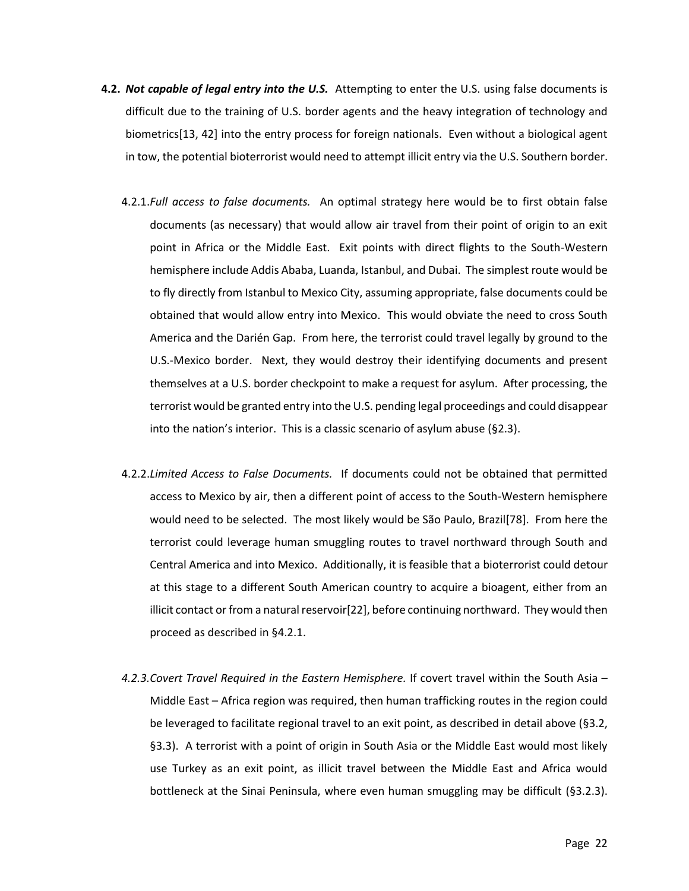- **4.2.** *Not capable of legal entry into the U.S.* Attempting to enter the U.S. using false documents is difficult due to the training of U.S. border agents and the heavy integration of technology and biometrics[13, 42] into the entry process for foreign nationals. Even without a biological agent in tow, the potential bioterrorist would need to attempt illicit entry via the U.S. Southern border.
	- 4.2.1.*Full access to false documents.* An optimal strategy here would be to first obtain false documents (as necessary) that would allow air travel from their point of origin to an exit point in Africa or the Middle East. Exit points with direct flights to the South-Western hemisphere include Addis Ababa, Luanda, Istanbul, and Dubai. The simplest route would be to fly directly from Istanbul to Mexico City, assuming appropriate, false documents could be obtained that would allow entry into Mexico. This would obviate the need to cross South America and the Darién Gap. From here, the terrorist could travel legally by ground to the U.S.-Mexico border. Next, they would destroy their identifying documents and present themselves at a U.S. border checkpoint to make a request for asylum. After processing, the terrorist would be granted entry into the U.S. pending legal proceedings and could disappear into the nation's interior. This is a classic scenario of asylum abuse (§2.3).
	- 4.2.2.*Limited Access to False Documents.* If documents could not be obtained that permitted access to Mexico by air, then a different point of access to the South-Western hemisphere would need to be selected. The most likely would be São Paulo, Brazil[78]. From here the terrorist could leverage human smuggling routes to travel northward through South and Central America and into Mexico. Additionally, it is feasible that a bioterrorist could detour at this stage to a different South American country to acquire a bioagent, either from an illicit contact or from a natural reservoir[22], before continuing northward. They would then proceed as described in §4.2.1.
	- *4.2.3.Covert Travel Required in the Eastern Hemisphere.* If covert travel within the South Asia Middle East – Africa region was required, then human trafficking routes in the region could be leveraged to facilitate regional travel to an exit point, as described in detail above (§3.2, §3.3). A terrorist with a point of origin in South Asia or the Middle East would most likely use Turkey as an exit point, as illicit travel between the Middle East and Africa would bottleneck at the Sinai Peninsula, where even human smuggling may be difficult (§3.2.3).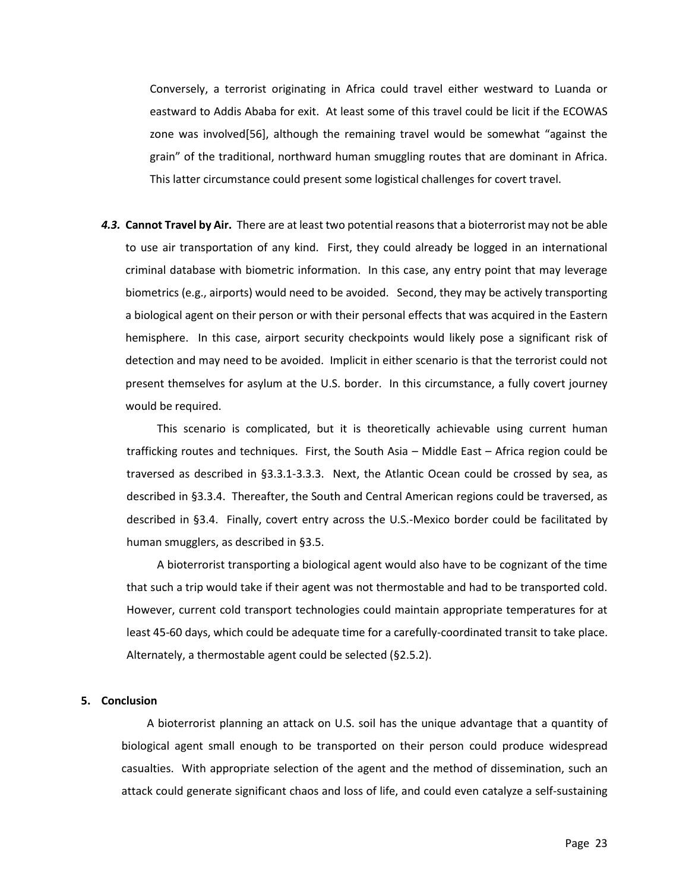Conversely, a terrorist originating in Africa could travel either westward to Luanda or eastward to Addis Ababa for exit. At least some of this travel could be licit if the ECOWAS zone was involved[56], although the remaining travel would be somewhat "against the grain" of the traditional, northward human smuggling routes that are dominant in Africa. This latter circumstance could present some logistical challenges for covert travel.

*4.3.* **Cannot Travel by Air.** There are at least two potential reasons that a bioterrorist may not be able to use air transportation of any kind. First, they could already be logged in an international criminal database with biometric information. In this case, any entry point that may leverage biometrics (e.g., airports) would need to be avoided. Second, they may be actively transporting a biological agent on their person or with their personal effects that was acquired in the Eastern hemisphere. In this case, airport security checkpoints would likely pose a significant risk of detection and may need to be avoided. Implicit in either scenario is that the terrorist could not present themselves for asylum at the U.S. border. In this circumstance, a fully covert journey would be required.

This scenario is complicated, but it is theoretically achievable using current human trafficking routes and techniques. First, the South Asia – Middle East – Africa region could be traversed as described in §3.3.1-3.3.3. Next, the Atlantic Ocean could be crossed by sea, as described in §3.3.4. Thereafter, the South and Central American regions could be traversed, as described in §3.4. Finally, covert entry across the U.S.-Mexico border could be facilitated by human smugglers, as described in §3.5.

A bioterrorist transporting a biological agent would also have to be cognizant of the time that such a trip would take if their agent was not thermostable and had to be transported cold. However, current cold transport technologies could maintain appropriate temperatures for at least 45-60 days, which could be adequate time for a carefully-coordinated transit to take place. Alternately, a thermostable agent could be selected (§2.5.2).

#### **5. Conclusion**

A bioterrorist planning an attack on U.S. soil has the unique advantage that a quantity of biological agent small enough to be transported on their person could produce widespread casualties. With appropriate selection of the agent and the method of dissemination, such an attack could generate significant chaos and loss of life, and could even catalyze a self-sustaining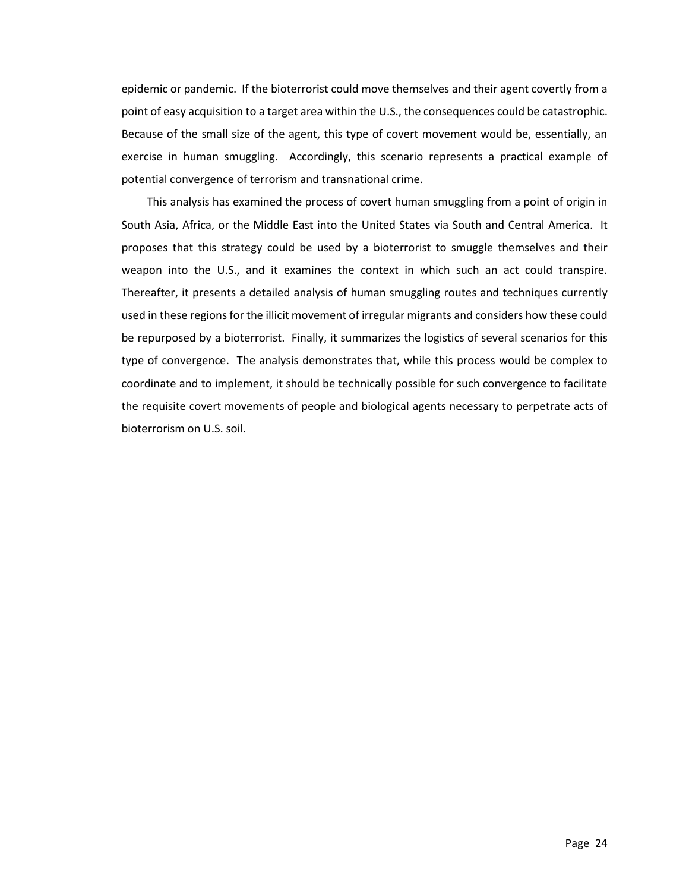epidemic or pandemic. If the bioterrorist could move themselves and their agent covertly from a point of easy acquisition to a target area within the U.S., the consequences could be catastrophic. Because of the small size of the agent, this type of covert movement would be, essentially, an exercise in human smuggling. Accordingly, this scenario represents a practical example of potential convergence of terrorism and transnational crime.

This analysis has examined the process of covert human smuggling from a point of origin in South Asia, Africa, or the Middle East into the United States via South and Central America. It proposes that this strategy could be used by a bioterrorist to smuggle themselves and their weapon into the U.S., and it examines the context in which such an act could transpire. Thereafter, it presents a detailed analysis of human smuggling routes and techniques currently used in these regions for the illicit movement of irregular migrants and considers how these could be repurposed by a bioterrorist. Finally, it summarizes the logistics of several scenarios for this type of convergence. The analysis demonstrates that, while this process would be complex to coordinate and to implement, it should be technically possible for such convergence to facilitate the requisite covert movements of people and biological agents necessary to perpetrate acts of bioterrorism on U.S. soil.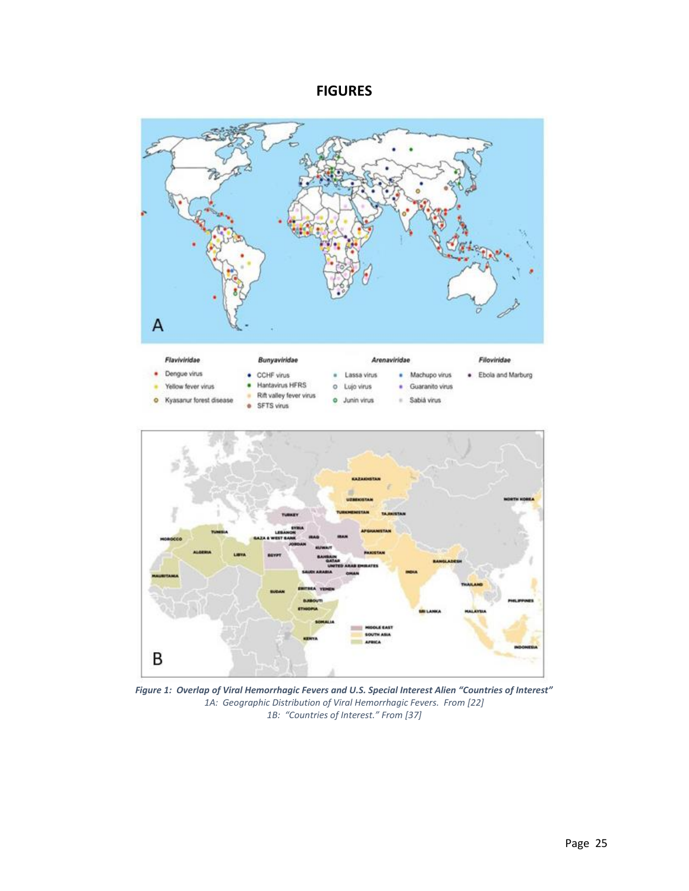### **FIGURES**



*Figure 1: Overlap of Viral Hemorrhagic Fevers and U.S. Special Interest Alien "Countries of Interest" 1A: Geographic Distribution of Viral Hemorrhagic Fevers. From [22] 1B: "Countries of Interest." From [37]*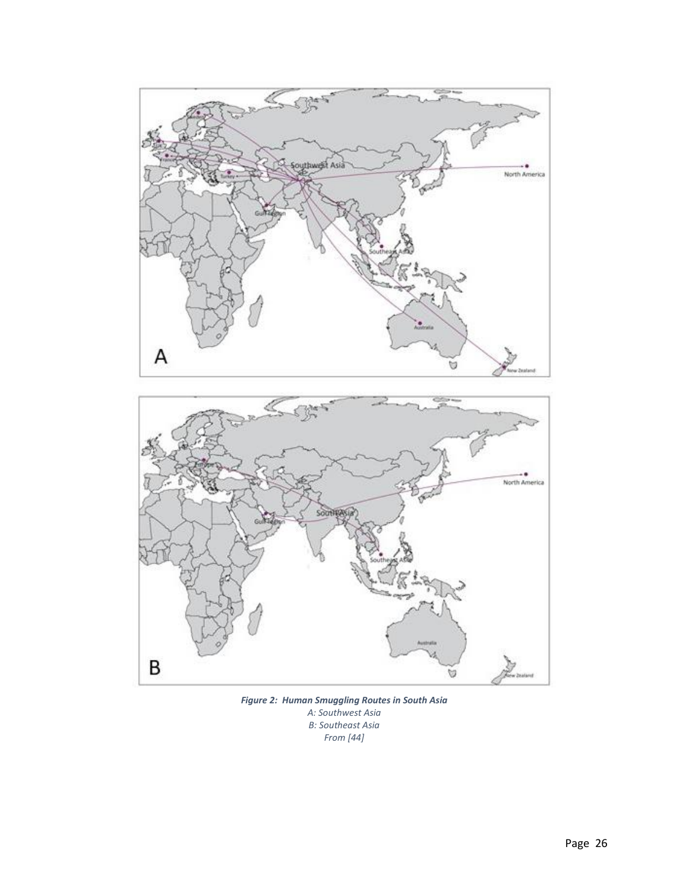

*Figure 2: Human Smuggling Routes in South Asia A: Southwest Asia B: Southeast Asia From [44]*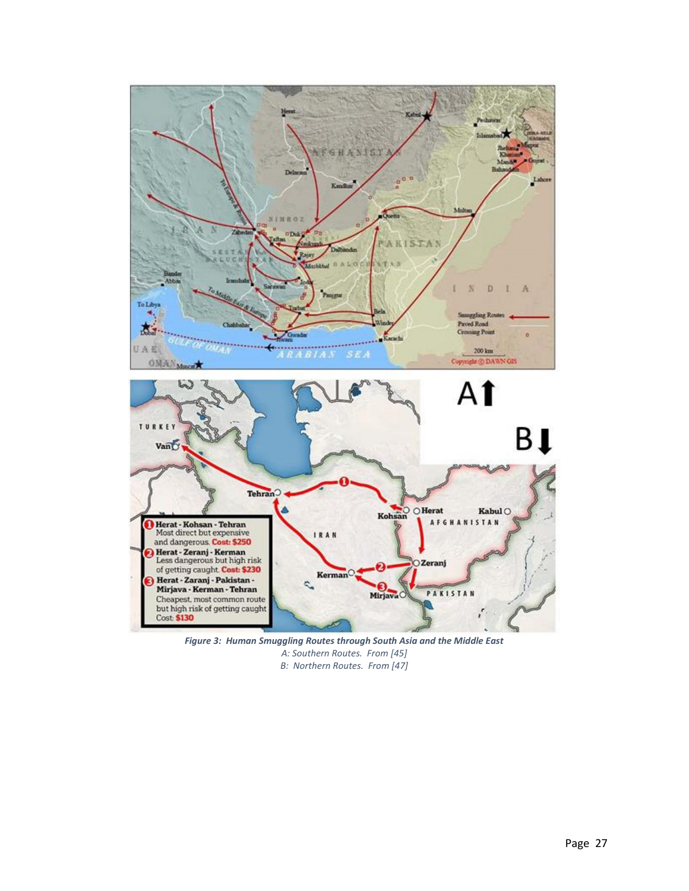

*Figure 3: Human Smuggling Routes through South Asia and the Middle East A: Southern Routes. From [45] B: Northern Routes. From [47]*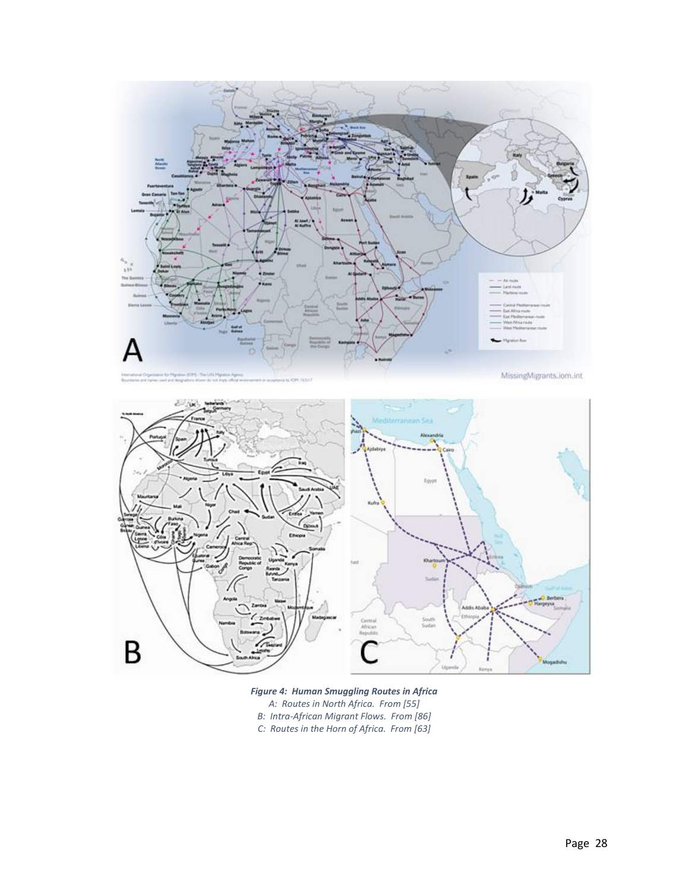

*Figure 4: Human Smuggling Routes in Africa A: Routes in North Africa. From [55] B: Intra-African Migrant Flows. From [86] C: Routes in the Horn of Africa. From [63]*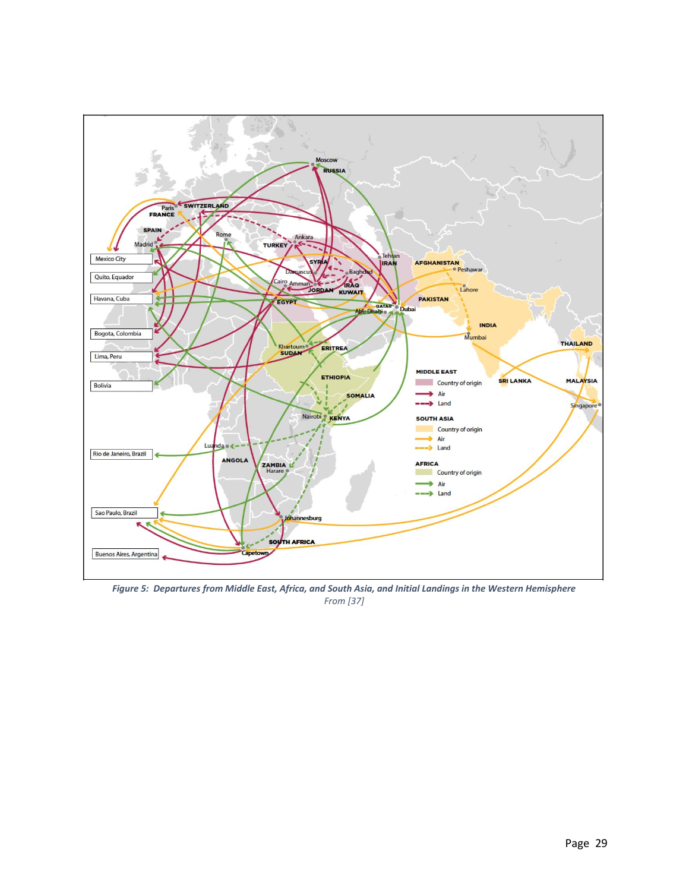

*Figure 5: Departures from Middle East, Africa, and South Asia, and Initial Landings in the Western Hemisphere From [37]*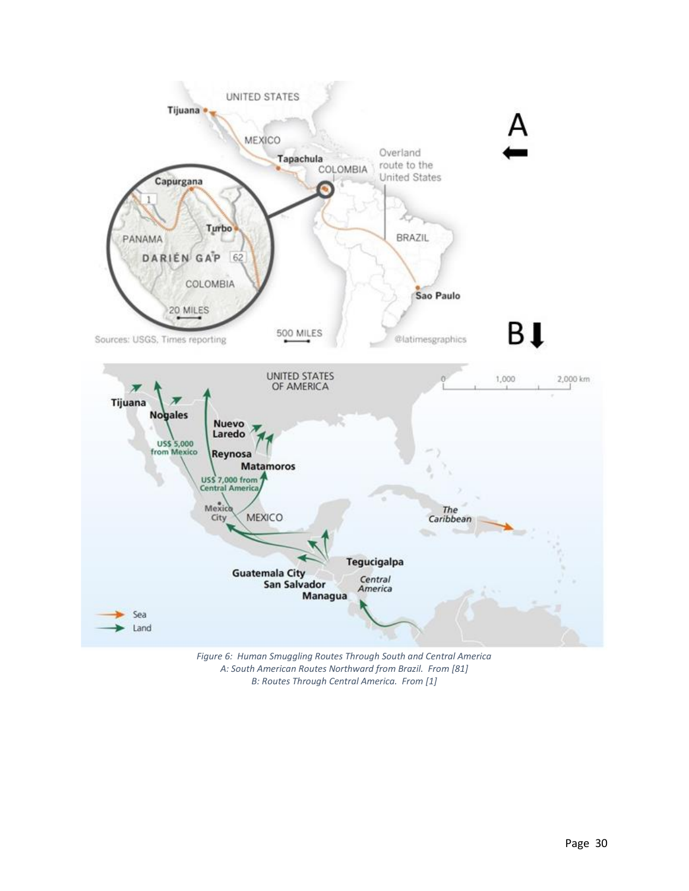

*Figure 6: Human Smuggling Routes Through South and Central America A: South American Routes Northward from Brazil. From [81] B: Routes Through Central America. From [1]*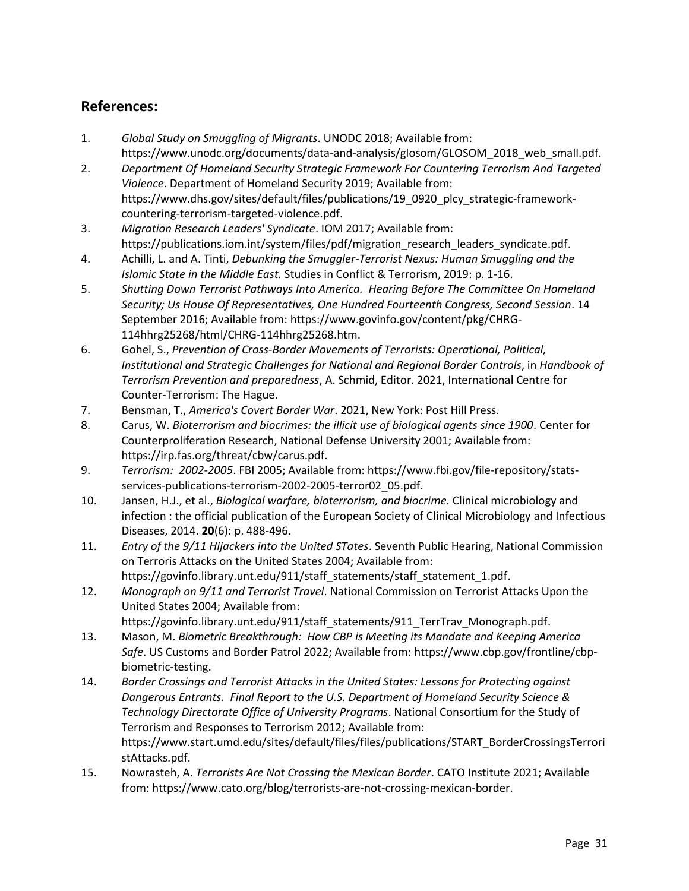## **References:**

- 1. *Global Study on Smuggling of Migrants*. UNODC 2018; Available from: [https://www.unodc.org/documents/data-and-analysis/glosom/GLOSOM\\_2018\\_web\\_small.pdf.](https://www.unodc.org/documents/data-and-analysis/glosom/GLOSOM_2018_web_small.pdf)
- 2. *Department Of Homeland Security Strategic Framework For Countering Terrorism And Targeted Violence*. Department of Homeland Security 2019; Available from: [https://www.dhs.gov/sites/default/files/publications/19\\_0920\\_plcy\\_strategic-framework](https://www.dhs.gov/sites/default/files/publications/19_0920_plcy_strategic-framework-countering-terrorism-targeted-violence.pdf)[countering-terrorism-targeted-violence.pdf.](https://www.dhs.gov/sites/default/files/publications/19_0920_plcy_strategic-framework-countering-terrorism-targeted-violence.pdf)
- 3. *Migration Research Leaders' Syndicate*. IOM 2017; Available from: [https://publications.iom.int/system/files/pdf/migration\\_research\\_leaders\\_syndicate.pdf.](https://publications.iom.int/system/files/pdf/migration_research_leaders_syndicate.pdf)
- 4. Achilli, L. and A. Tinti, *Debunking the Smuggler-Terrorist Nexus: Human Smuggling and the Islamic State in the Middle East.* Studies in Conflict & Terrorism, 2019: p. 1-16.
- 5. *Shutting Down Terrorist Pathways Into America. Hearing Before The Committee On Homeland Security; Us House Of Representatives, One Hundred Fourteenth Congress, Second Session*. 14 September 2016; Available from: [https://www.govinfo.gov/content/pkg/CHRG-](https://www.govinfo.gov/content/pkg/CHRG-114hhrg25268/html/CHRG-114hhrg25268.htm)[114hhrg25268/html/CHRG-114hhrg25268.htm.](https://www.govinfo.gov/content/pkg/CHRG-114hhrg25268/html/CHRG-114hhrg25268.htm)
- 6. Gohel, S., *Prevention of Cross-Border Movements of Terrorists: Operational, Political, Institutional and Strategic Challenges for National and Regional Border Controls*, in *Handbook of Terrorism Prevention and preparedness*, A. Schmid, Editor. 2021, International Centre for Counter-Terrorism: The Hague.
- 7. Bensman, T., *America's Covert Border War*. 2021, New York: Post Hill Press.
- 8. Carus, W. *Bioterrorism and biocrimes: the illicit use of biological agents since 1900*. Center for Counterproliferation Research, National Defense University 2001; Available from: [https://irp.fas.org/threat/cbw/carus.pdf.](https://irp.fas.org/threat/cbw/carus.pdf)
- 9. *Terrorism: 2002-2005*. FBI 2005; Available from[: https://www.fbi.gov/file-repository/stats](https://www.fbi.gov/file-repository/stats-services-publications-terrorism-2002-2005-terror02_05.pdf)[services-publications-terrorism-2002-2005-terror02\\_05.pdf.](https://www.fbi.gov/file-repository/stats-services-publications-terrorism-2002-2005-terror02_05.pdf)
- 10. Jansen, H.J., et al., *Biological warfare, bioterrorism, and biocrime.* Clinical microbiology and infection : the official publication of the European Society of Clinical Microbiology and Infectious Diseases, 2014. **20**(6): p. 488-496.
- 11. *Entry of the 9/11 Hijackers into the United STates*. Seventh Public Hearing, National Commission on Terroris Attacks on the United States 2004; Available from: https://govinfo.library.unt.edu/911/staff statements/staff statement 1.pdf.
- 12. *Monograph on 9/11 and Terrorist Travel*. National Commission on Terrorist Attacks Upon the United States 2004; Available from: [https://govinfo.library.unt.edu/911/staff\\_statements/911\\_TerrTrav\\_Monograph.pdf.](https://govinfo.library.unt.edu/911/staff_statements/911_TerrTrav_Monograph.pdf)
- 13. Mason, M. *Biometric Breakthrough: How CBP is Meeting its Mandate and Keeping America Safe*. US Customs and Border Patrol 2022; Available from: [https://www.cbp.gov/frontline/cbp](https://www.cbp.gov/frontline/cbp-biometric-testing)[biometric-testing.](https://www.cbp.gov/frontline/cbp-biometric-testing)
- 14. *Border Crossings and Terrorist Attacks in the United States: Lessons for Protecting against Dangerous Entrants. Final Report to the U.S. Department of Homeland Security Science & Technology Directorate Office of University Programs*. National Consortium for the Study of Terrorism and Responses to Terrorism 2012; Available from: [https://www.start.umd.edu/sites/default/files/files/publications/START\\_BorderCrossingsTerrori](https://www.start.umd.edu/sites/default/files/files/publications/START_BorderCrossingsTerroristAttacks.pdf) [stAttacks.pdf.](https://www.start.umd.edu/sites/default/files/files/publications/START_BorderCrossingsTerroristAttacks.pdf)
- 15. Nowrasteh, A. *Terrorists Are Not Crossing the Mexican Border*. CATO Institute 2021; Available from: [https://www.cato.org/blog/terrorists-are-not-crossing-mexican-border.](https://www.cato.org/blog/terrorists-are-not-crossing-mexican-border)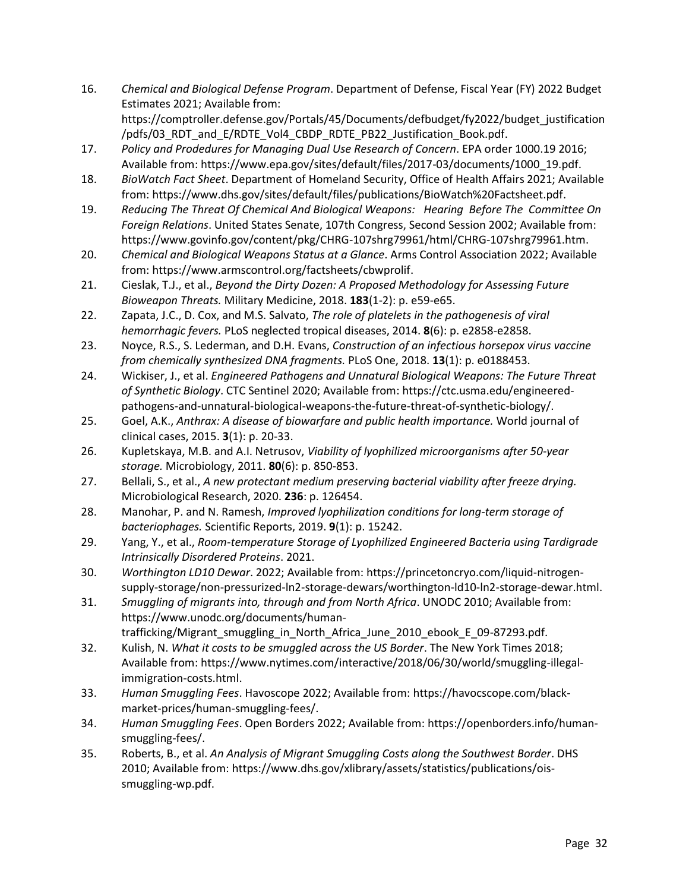- 16. *Chemical and Biological Defense Program*. Department of Defense, Fiscal Year (FY) 2022 Budget Estimates 2021; Available from: [https://comptroller.defense.gov/Portals/45/Documents/defbudget/fy2022/budget\\_justification](https://comptroller.defense.gov/Portals/45/Documents/defbudget/fy2022/budget_justification/pdfs/03_RDT_and_E/RDTE_Vol4_CBDP_RDTE_PB22_Justification_Book.pdf) [/pdfs/03\\_RDT\\_and\\_E/RDTE\\_Vol4\\_CBDP\\_RDTE\\_PB22\\_Justification\\_Book.pdf.](https://comptroller.defense.gov/Portals/45/Documents/defbudget/fy2022/budget_justification/pdfs/03_RDT_and_E/RDTE_Vol4_CBDP_RDTE_PB22_Justification_Book.pdf)
- 17. *Policy and Prodedures for Managing Dual Use Research of Concern*. EPA order 1000.19 2016; Available from[: https://www.epa.gov/sites/default/files/2017-03/documents/1000\\_19.pdf.](https://www.epa.gov/sites/default/files/2017-03/documents/1000_19.pdf)
- 18. *BioWatch Fact Sheet*. Department of Homeland Security, Office of Health Affairs 2021; Available from: [https://www.dhs.gov/sites/default/files/publications/BioWatch%20Factsheet.pdf.](https://www.dhs.gov/sites/default/files/publications/BioWatch%20Factsheet.pdf)
- 19. *Reducing The Threat Of Chemical And Biological Weapons: Hearing Before The Committee On Foreign Relations*. United States Senate, 107th Congress, Second Session 2002; Available from: [https://www.govinfo.gov/content/pkg/CHRG-107shrg79961/html/CHRG-107shrg79961.htm.](https://www.govinfo.gov/content/pkg/CHRG-107shrg79961/html/CHRG-107shrg79961.htm)
- 20. *Chemical and Biological Weapons Status at a Glance*. Arms Control Association 2022; Available from: [https://www.armscontrol.org/factsheets/cbwprolif.](https://www.armscontrol.org/factsheets/cbwprolif)
- 21. Cieslak, T.J., et al., *Beyond the Dirty Dozen: A Proposed Methodology for Assessing Future Bioweapon Threats.* Military Medicine, 2018. **183**(1-2): p. e59-e65.
- 22. Zapata, J.C., D. Cox, and M.S. Salvato, *The role of platelets in the pathogenesis of viral hemorrhagic fevers.* PLoS neglected tropical diseases, 2014. **8**(6): p. e2858-e2858.
- 23. Noyce, R.S., S. Lederman, and D.H. Evans, *Construction of an infectious horsepox virus vaccine from chemically synthesized DNA fragments.* PLoS One, 2018. **13**(1): p. e0188453.
- 24. Wickiser, J., et al. *Engineered Pathogens and Unnatural Biological Weapons: The Future Threat of Synthetic Biology*. CTC Sentinel 2020; Available from[: https://ctc.usma.edu/engineered](https://ctc.usma.edu/engineered-pathogens-and-unnatural-biological-weapons-the-future-threat-of-synthetic-biology/)[pathogens-and-unnatural-biological-weapons-the-future-threat-of-synthetic-biology/.](https://ctc.usma.edu/engineered-pathogens-and-unnatural-biological-weapons-the-future-threat-of-synthetic-biology/)
- 25. Goel, A.K., *Anthrax: A disease of biowarfare and public health importance.* World journal of clinical cases, 2015. **3**(1): p. 20-33.
- 26. Kupletskaya, M.B. and A.I. Netrusov, *Viability of lyophilized microorganisms after 50-year storage.* Microbiology, 2011. **80**(6): p. 850-853.
- 27. Bellali, S., et al., *A new protectant medium preserving bacterial viability after freeze drying.* Microbiological Research, 2020. **236**: p. 126454.
- 28. Manohar, P. and N. Ramesh, *Improved lyophilization conditions for long-term storage of bacteriophages.* Scientific Reports, 2019. **9**(1): p. 15242.
- 29. Yang, Y., et al., *Room-temperature Storage of Lyophilized Engineered Bacteria using Tardigrade Intrinsically Disordered Proteins*. 2021.
- 30. *Worthington LD10 Dewar*. 2022; Available from[: https://princetoncryo.com/liquid-nitrogen](https://princetoncryo.com/liquid-nitrogen-supply-storage/non-pressurized-ln2-storage-dewars/worthington-ld10-ln2-storage-dewar.html)[supply-storage/non-pressurized-ln2-storage-dewars/worthington-ld10-ln2-storage-dewar.html.](https://princetoncryo.com/liquid-nitrogen-supply-storage/non-pressurized-ln2-storage-dewars/worthington-ld10-ln2-storage-dewar.html)
- 31. *Smuggling of migrants into, through and from North Africa*. UNODC 2010; Available from: [https://www.unodc.org/documents/human-](https://www.unodc.org/documents/human-trafficking/Migrant_smuggling_in_North_Africa_June_2010_ebook_E_09-87293.pdf)
- [trafficking/Migrant\\_smuggling\\_in\\_North\\_Africa\\_June\\_2010\\_ebook\\_E\\_09-87293.pdf.](https://www.unodc.org/documents/human-trafficking/Migrant_smuggling_in_North_Africa_June_2010_ebook_E_09-87293.pdf) 32. Kulish, N. *What it costs to be smuggled across the US Border*. The New York Times 2018;
- Available from[: https://www.nytimes.com/interactive/2018/06/30/world/smuggling-illegal](https://www.nytimes.com/interactive/2018/06/30/world/smuggling-illegal-immigration-costs.html)[immigration-costs.html.](https://www.nytimes.com/interactive/2018/06/30/world/smuggling-illegal-immigration-costs.html)
- 33. *Human Smuggling Fees*. Havoscope 2022; Available from: [https://havocscope.com/black](https://havocscope.com/black-market-prices/human-smuggling-fees/)[market-prices/human-smuggling-fees/.](https://havocscope.com/black-market-prices/human-smuggling-fees/)
- 34. *Human Smuggling Fees*. Open Borders 2022; Available from: [https://openborders.info/human](https://openborders.info/human-smuggling-fees/)[smuggling-fees/.](https://openborders.info/human-smuggling-fees/)
- 35. Roberts, B., et al. *An Analysis of Migrant Smuggling Costs along the Southwest Border*. DHS 2010; Available from: [https://www.dhs.gov/xlibrary/assets/statistics/publications/ois](https://www.dhs.gov/xlibrary/assets/statistics/publications/ois-smuggling-wp.pdf)[smuggling-wp.pdf.](https://www.dhs.gov/xlibrary/assets/statistics/publications/ois-smuggling-wp.pdf)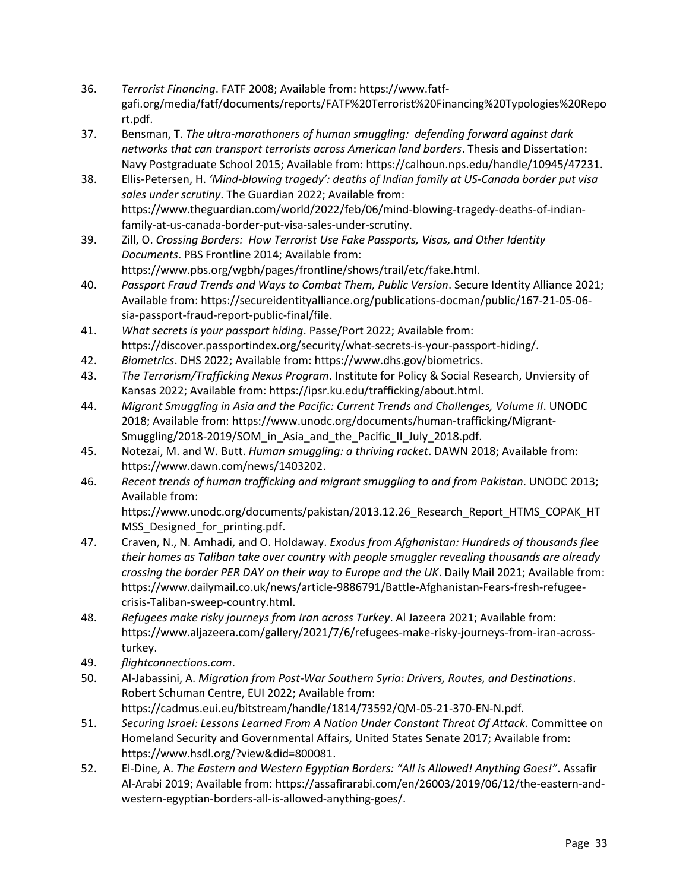- 36. *Terrorist Financing*. FATF 2008; Available from: [https://www.fatf](https://www.fatf-gafi.org/media/fatf/documents/reports/FATF%20Terrorist%20Financing%20Typologies%20Report.pdf)[gafi.org/media/fatf/documents/reports/FATF%20Terrorist%20Financing%20Typologies%20Repo](https://www.fatf-gafi.org/media/fatf/documents/reports/FATF%20Terrorist%20Financing%20Typologies%20Report.pdf) [rt.pdf.](https://www.fatf-gafi.org/media/fatf/documents/reports/FATF%20Terrorist%20Financing%20Typologies%20Report.pdf)
- 37. Bensman, T. *The ultra-marathoners of human smuggling: defending forward against dark networks that can transport terrorists across American land borders*. Thesis and Dissertation: Navy Postgraduate School 2015; Available from: [https://calhoun.nps.edu/handle/10945/47231.](https://calhoun.nps.edu/handle/10945/47231)
- 38. Ellis-Petersen, H. *'Mind-blowing tragedy': deaths of Indian family at US-Canada border put visa sales under scrutiny*. The Guardian 2022; Available from: [https://www.theguardian.com/world/2022/feb/06/mind-blowing-tragedy-deaths-of-indian](https://www.theguardian.com/world/2022/feb/06/mind-blowing-tragedy-deaths-of-indian-family-at-us-canada-border-put-visa-sales-under-scrutiny)[family-at-us-canada-border-put-visa-sales-under-scrutiny.](https://www.theguardian.com/world/2022/feb/06/mind-blowing-tragedy-deaths-of-indian-family-at-us-canada-border-put-visa-sales-under-scrutiny)
- 39. Zill, O. *Crossing Borders: How Terrorist Use Fake Passports, Visas, and Other Identity Documents*. PBS Frontline 2014; Available from: [https://www.pbs.org/wgbh/pages/frontline/shows/trail/etc/fake.html.](https://www.pbs.org/wgbh/pages/frontline/shows/trail/etc/fake.html)
- 40. *Passport Fraud Trends and Ways to Combat Them, Public Version*. Secure Identity Alliance 2021; Available from[: https://secureidentityalliance.org/publications-docman/public/167-21-05-06](https://secureidentityalliance.org/publications-docman/public/167-21-05-06-sia-passport-fraud-report-public-final/file) [sia-passport-fraud-report-public-final/file.](https://secureidentityalliance.org/publications-docman/public/167-21-05-06-sia-passport-fraud-report-public-final/file)
- 41. *What secrets is your passport hiding*. Passe/Port 2022; Available from: [https://discover.passportindex.org/security/what-secrets-is-your-passport-hiding/.](https://discover.passportindex.org/security/what-secrets-is-your-passport-hiding/)
- 42. *Biometrics*. DHS 2022; Available from[: https://www.dhs.gov/biometrics.](https://www.dhs.gov/biometrics)
- 43. *The Terrorism/Trafficking Nexus Program*. Institute for Policy & Social Research, Unviersity of Kansas 2022; Available from: [https://ipsr.ku.edu/trafficking/about.html.](https://ipsr.ku.edu/trafficking/about.html)
- 44. *Migrant Smuggling in Asia and the Pacific: Current Trends and Challenges, Volume II*. UNODC 2018; Available from: [https://www.unodc.org/documents/human-trafficking/Migrant-](https://www.unodc.org/documents/human-trafficking/Migrant-Smuggling/2018-2019/SOM_in_Asia_and_the_Pacific_II_July_2018.pdf)[Smuggling/2018-2019/SOM\\_in\\_Asia\\_and\\_the\\_Pacific\\_II\\_July\\_2018.pdf.](https://www.unodc.org/documents/human-trafficking/Migrant-Smuggling/2018-2019/SOM_in_Asia_and_the_Pacific_II_July_2018.pdf)
- 45. Notezai, M. and W. Butt. *Human smuggling: a thriving racket*. DAWN 2018; Available from: [https://www.dawn.com/news/1403202.](https://www.dawn.com/news/1403202)
- 46. *Recent trends of human trafficking and migrant smuggling to and from Pakistan*. UNODC 2013; Available from: https://www.unodc.org/documents/pakistan/2013.12.26 Research Report HTMS COPAK HT

MSS Designed for printing.pdf.

- 47. Craven, N., N. Amhadi, and O. Holdaway. *Exodus from Afghanistan: Hundreds of thousands flee their homes as Taliban take over country with people smuggler revealing thousands are already crossing the border PER DAY on their way to Europe and the UK*. Daily Mail 2021; Available from: [https://www.dailymail.co.uk/news/article-9886791/Battle-Afghanistan-Fears-fresh-refugee](https://www.dailymail.co.uk/news/article-9886791/Battle-Afghanistan-Fears-fresh-refugee-crisis-Taliban-sweep-country.html)[crisis-Taliban-sweep-country.html.](https://www.dailymail.co.uk/news/article-9886791/Battle-Afghanistan-Fears-fresh-refugee-crisis-Taliban-sweep-country.html)
- 48. *Refugees make risky journeys from Iran across Turkey*. Al Jazeera 2021; Available from: [https://www.aljazeera.com/gallery/2021/7/6/refugees-make-risky-journeys-from-iran-across](https://www.aljazeera.com/gallery/2021/7/6/refugees-make-risky-journeys-from-iran-across-turkey)[turkey.](https://www.aljazeera.com/gallery/2021/7/6/refugees-make-risky-journeys-from-iran-across-turkey)
- 49. *flightconnections.com*.
- 50. Al-Jabassini, A. *Migration from Post-War Southern Syria: Drivers, Routes, and Destinations*. Robert Schuman Centre, EUI 2022; Available from: [https://cadmus.eui.eu/bitstream/handle/1814/73592/QM-05-21-370-EN-N.pdf.](https://cadmus.eui.eu/bitstream/handle/1814/73592/QM-05-21-370-EN-N.pdf)
- 51. *Securing Israel: Lessons Learned From A Nation Under Constant Threat Of Attack*. Committee on Homeland Security and Governmental Affairs, United States Senate 2017; Available from: [https://www.hsdl.org/?view&did=800081.](https://www.hsdl.org/?view&did=800081)
- 52. El-Dine, A. *The Eastern and Western Egyptian Borders: "All is Allowed! Anything Goes!"*. Assafir Al-Arabi 2019; Available from[: https://assafirarabi.com/en/26003/2019/06/12/the-eastern-and](https://assafirarabi.com/en/26003/2019/06/12/the-eastern-and-western-egyptian-borders-all-is-allowed-anything-goes/)[western-egyptian-borders-all-is-allowed-anything-goes/.](https://assafirarabi.com/en/26003/2019/06/12/the-eastern-and-western-egyptian-borders-all-is-allowed-anything-goes/)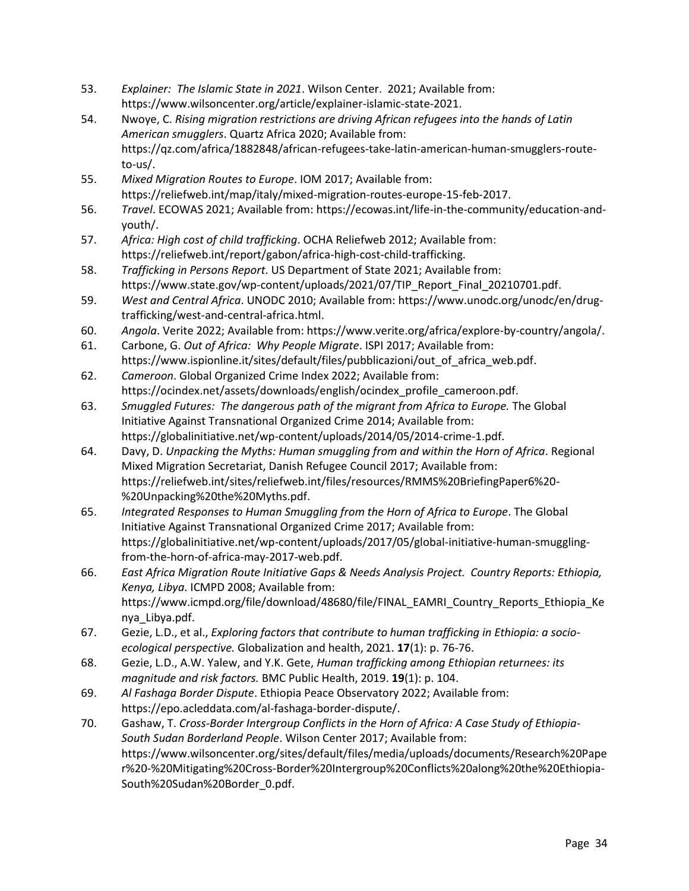- 53. *Explainer: The Islamic State in 2021*. Wilson Center. 2021; Available from: [https://www.wilsoncenter.org/article/explainer-islamic-state-2021.](https://www.wilsoncenter.org/article/explainer-islamic-state-2021)
- 54. Nwoye, C. *Rising migration restrictions are driving African refugees into the hands of Latin American smugglers*. Quartz Africa 2020; Available from: [https://qz.com/africa/1882848/african-refugees-take-latin-american-human-smugglers-route](https://qz.com/africa/1882848/african-refugees-take-latin-american-human-smugglers-route-to-us/)[to-us/.](https://qz.com/africa/1882848/african-refugees-take-latin-american-human-smugglers-route-to-us/)
- 55. *Mixed Migration Routes to Europe*. IOM 2017; Available from: [https://reliefweb.int/map/italy/mixed-migration-routes-europe-15-feb-2017.](https://reliefweb.int/map/italy/mixed-migration-routes-europe-15-feb-2017)
- 56. *Travel*. ECOWAS 2021; Available from: [https://ecowas.int/life-in-the-community/education-and](https://ecowas.int/life-in-the-community/education-and-youth/)[youth/.](https://ecowas.int/life-in-the-community/education-and-youth/)
- 57. *Africa: High cost of child trafficking*. OCHA Reliefweb 2012; Available from: [https://reliefweb.int/report/gabon/africa-high-cost-child-trafficking.](https://reliefweb.int/report/gabon/africa-high-cost-child-trafficking)
- 58. *Trafficking in Persons Report*. US Department of State 2021; Available from: [https://www.state.gov/wp-content/uploads/2021/07/TIP\\_Report\\_Final\\_20210701.pdf.](https://www.state.gov/wp-content/uploads/2021/07/TIP_Report_Final_20210701.pdf)
- 59. *West and Central Africa*. UNODC 2010; Available from: [https://www.unodc.org/unodc/en/drug](https://www.unodc.org/unodc/en/drug-trafficking/west-and-central-africa.html)[trafficking/west-and-central-africa.html.](https://www.unodc.org/unodc/en/drug-trafficking/west-and-central-africa.html)
- 60. *Angola*. Verite 2022; Available from[: https://www.verite.org/africa/explore-by-country/angola/.](https://www.verite.org/africa/explore-by-country/angola/)
- 61. Carbone, G. *Out of Africa: Why People Migrate*. ISPI 2017; Available from: [https://www.ispionline.it/sites/default/files/pubblicazioni/out\\_of\\_africa\\_web.pdf.](https://www.ispionline.it/sites/default/files/pubblicazioni/out_of_africa_web.pdf)
- 62. *Cameroon*. Global Organized Crime Index 2022; Available from: [https://ocindex.net/assets/downloads/english/ocindex\\_profile\\_cameroon.pdf.](https://ocindex.net/assets/downloads/english/ocindex_profile_cameroon.pdf)
- 63. *Smuggled Futures: The dangerous path of the migrant from Africa to Europe.* The Global Initiative Against Transnational Organized Crime 2014; Available from: [https://globalinitiative.net/wp-content/uploads/2014/05/2014-crime-1.pdf.](https://globalinitiative.net/wp-content/uploads/2014/05/2014-crime-1.pdf)
- 64. Davy, D. *Unpacking the Myths: Human smuggling from and within the Horn of Africa*. Regional Mixed Migration Secretariat, Danish Refugee Council 2017; Available from: [https://reliefweb.int/sites/reliefweb.int/files/resources/RMMS%20BriefingPaper6%20-](https://reliefweb.int/sites/reliefweb.int/files/resources/RMMS%20BriefingPaper6%20-%20Unpacking%20the%20Myths.pdf) [%20Unpacking%20the%20Myths.pdf.](https://reliefweb.int/sites/reliefweb.int/files/resources/RMMS%20BriefingPaper6%20-%20Unpacking%20the%20Myths.pdf)
- 65. *Integrated Responses to Human Smuggling from the Horn of Africa to Europe*. The Global Initiative Against Transnational Organized Crime 2017; Available from: [https://globalinitiative.net/wp-content/uploads/2017/05/global-initiative-human-smuggling](https://globalinitiative.net/wp-content/uploads/2017/05/global-initiative-human-smuggling-from-the-horn-of-africa-may-2017-web.pdf)[from-the-horn-of-africa-may-2017-web.pdf.](https://globalinitiative.net/wp-content/uploads/2017/05/global-initiative-human-smuggling-from-the-horn-of-africa-may-2017-web.pdf)
- 66. *East Africa Migration Route Initiative Gaps & Needs Analysis Project. Country Reports: Ethiopia, Kenya, Libya*. ICMPD 2008; Available from: [https://www.icmpd.org/file/download/48680/file/FINAL\\_EAMRI\\_Country\\_Reports\\_Ethiopia\\_Ke](https://www.icmpd.org/file/download/48680/file/FINAL_EAMRI_Country_Reports_Ethiopia_Kenya_Libya.pdf) [nya\\_Libya.pdf.](https://www.icmpd.org/file/download/48680/file/FINAL_EAMRI_Country_Reports_Ethiopia_Kenya_Libya.pdf)
- 67. Gezie, L.D., et al., *Exploring factors that contribute to human trafficking in Ethiopia: a socioecological perspective.* Globalization and health, 2021. **17**(1): p. 76-76.
- 68. Gezie, L.D., A.W. Yalew, and Y.K. Gete, *Human trafficking among Ethiopian returnees: its magnitude and risk factors.* BMC Public Health, 2019. **19**(1): p. 104.
- 69. *Al Fashaga Border Dispute*. Ethiopia Peace Observatory 2022; Available from: [https://epo.acleddata.com/al-fashaga-border-dispute/.](https://epo.acleddata.com/al-fashaga-border-dispute/)
- 70. Gashaw, T. *Cross-Border Intergroup Conflicts in the Horn of Africa: A Case Study of Ethiopia-South Sudan Borderland People*. Wilson Center 2017; Available from: [https://www.wilsoncenter.org/sites/default/files/media/uploads/documents/Research%20Pape](https://www.wilsoncenter.org/sites/default/files/media/uploads/documents/Research%20Paper%20-%20Mitigating%20Cross-Border%20Intergroup%20Conflicts%20along%20the%20Ethiopia-South%20Sudan%20Border_0.pdf) [r%20-%20Mitigating%20Cross-Border%20Intergroup%20Conflicts%20along%20the%20Ethiopia-](https://www.wilsoncenter.org/sites/default/files/media/uploads/documents/Research%20Paper%20-%20Mitigating%20Cross-Border%20Intergroup%20Conflicts%20along%20the%20Ethiopia-South%20Sudan%20Border_0.pdf)[South%20Sudan%20Border\\_0.pdf.](https://www.wilsoncenter.org/sites/default/files/media/uploads/documents/Research%20Paper%20-%20Mitigating%20Cross-Border%20Intergroup%20Conflicts%20along%20the%20Ethiopia-South%20Sudan%20Border_0.pdf)